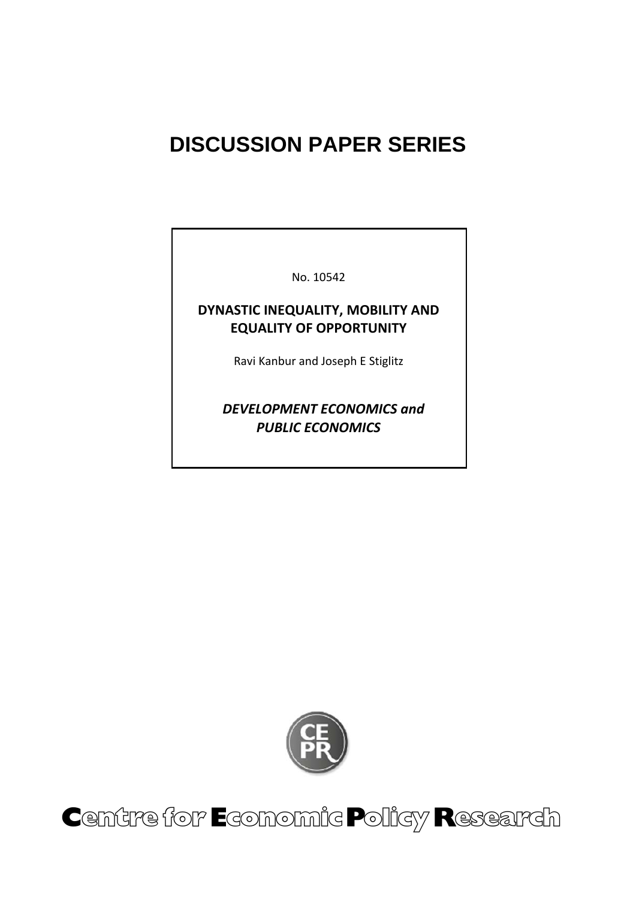# **DISCUSSION PAPER SERIES**

No. 10542

## **DYNASTIC INEQUALITY, MOBILITY AND EQUALITY OF OPPORTUNITY**

Ravi Kanbur and Joseph E Stiglitz

 *DEVELOPMENT ECONOMICS and PUBLIC ECONOMICS*



Centre for Economic Policy Research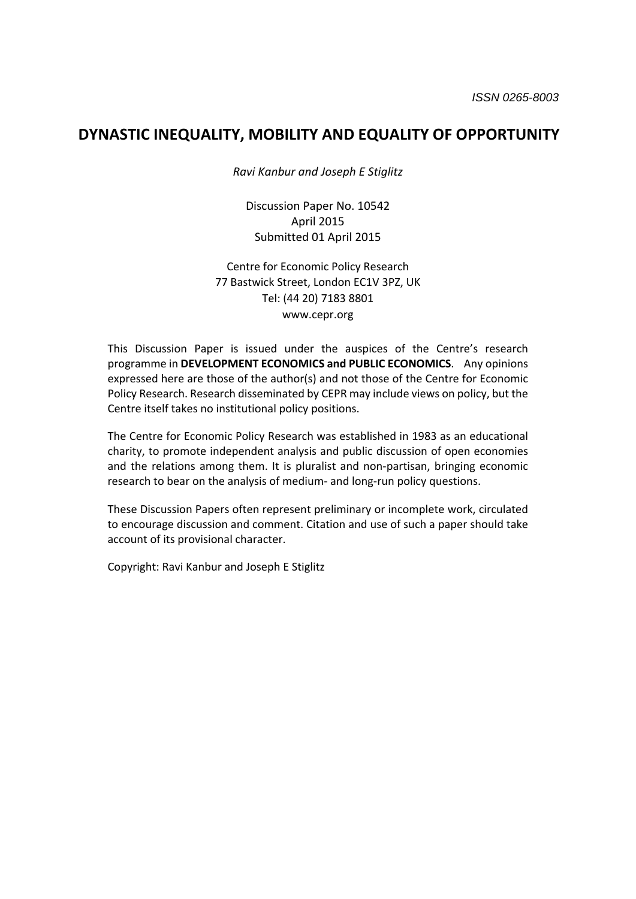### **DYNASTIC INEQUALITY, MOBILITY AND EQUALITY OF OPPORTUNITY**

*Ravi Kanbur and Joseph E Stiglitz*

Discussion Paper No. 10542 April 2015 Submitted 01 April 2015

Centre for Economic Policy Research 77 Bastwick Street, London EC1V 3PZ, UK Tel: (44 20) 7183 8801 www.cepr.org

This Discussion Paper is issued under the auspices of the Centre's research programme in **DEVELOPMENT ECONOMICS and PUBLIC ECONOMICS**. Any opinions expressed here are those of the author(s) and not those of the Centre for Economic Policy Research. Research disseminated by CEPR may include views on policy, but the Centre itself takes no institutional policy positions.

The Centre for Economic Policy Research was established in 1983 as an educational charity, to promote independent analysis and public discussion of open economies and the relations among them. It is pluralist and non-partisan, bringing economic research to bear on the analysis of medium‐ and long‐run policy questions.

These Discussion Papers often represent preliminary or incomplete work, circulated to encourage discussion and comment. Citation and use of such a paper should take account of its provisional character.

Copyright: Ravi Kanbur and Joseph E Stiglitz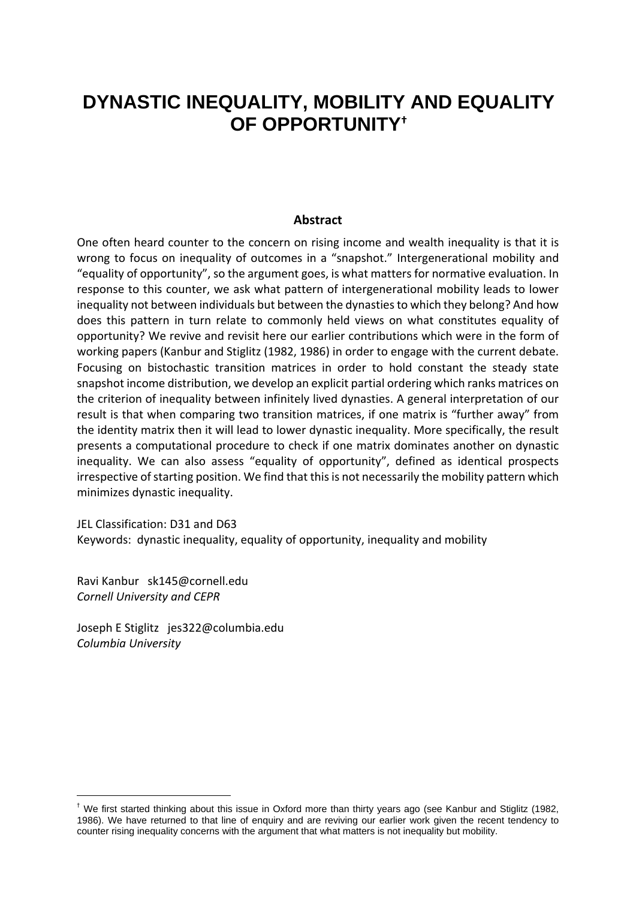## **DYNASTIC INEQUALITY, MOBILITY AND EQUALITY OF OPPORTUNITY†**

#### **Abstract**

One often heard counter to the concern on rising income and wealth inequality is that it is wrong to focus on inequality of outcomes in a "snapshot." Intergenerational mobility and "equality of opportunity", so the argument goes, is what matters for normative evaluation. In response to this counter, we ask what pattern of intergenerational mobility leads to lower inequality not between individuals but between the dynasties to which they belong? And how does this pattern in turn relate to commonly held views on what constitutes equality of opportunity? We revive and revisit here our earlier contributions which were in the form of working papers (Kanbur and Stiglitz (1982, 1986) in order to engage with the current debate. Focusing on bistochastic transition matrices in order to hold constant the steady state snapshot income distribution, we develop an explicit partial ordering which ranks matrices on the criterion of inequality between infinitely lived dynasties. A general interpretation of our result is that when comparing two transition matrices, if one matrix is "further away" from the identity matrix then it will lead to lower dynastic inequality. More specifically, the result presents a computational procedure to check if one matrix dominates another on dynastic inequality. We can also assess "equality of opportunity", defined as identical prospects irrespective of starting position. We find that this is not necessarily the mobility pattern which minimizes dynastic inequality.

JEL Classification: D31 and D63 Keywords: dynastic inequality, equality of opportunity, inequality and mobility

Ravi Kanbur sk145@cornell.edu *Cornell University and CEPR*

-

Joseph E Stiglitz jes322@columbia.edu *Columbia University*

<sup>&</sup>lt;sup>†</sup> We first started thinking about this issue in Oxford more than thirty years ago (see Kanbur and Stiglitz (1982, 1986). We have returned to that line of enquiry and are reviving our earlier work given the recent tendency to counter rising inequality concerns with the argument that what matters is not inequality but mobility.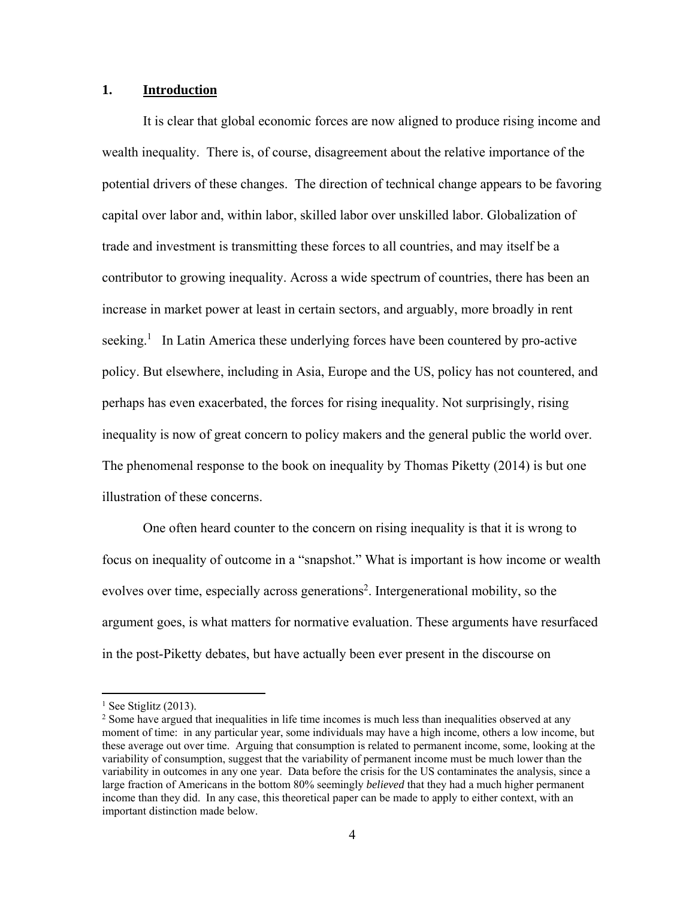#### **1. Introduction**

 It is clear that global economic forces are now aligned to produce rising income and wealth inequality. There is, of course, disagreement about the relative importance of the potential drivers of these changes. The direction of technical change appears to be favoring capital over labor and, within labor, skilled labor over unskilled labor. Globalization of trade and investment is transmitting these forces to all countries, and may itself be a contributor to growing inequality. Across a wide spectrum of countries, there has been an increase in market power at least in certain sectors, and arguably, more broadly in rent seeking.<sup>1</sup> In Latin America these underlying forces have been countered by pro-active policy. But elsewhere, including in Asia, Europe and the US, policy has not countered, and perhaps has even exacerbated, the forces for rising inequality. Not surprisingly, rising inequality is now of great concern to policy makers and the general public the world over. The phenomenal response to the book on inequality by Thomas Piketty (2014) is but one illustration of these concerns.

 One often heard counter to the concern on rising inequality is that it is wrong to focus on inequality of outcome in a "snapshot." What is important is how income or wealth evolves over time, especially across generations<sup>2</sup>. Intergenerational mobility, so the argument goes, is what matters for normative evaluation. These arguments have resurfaced in the post-Piketty debates, but have actually been ever present in the discourse on

 $\overline{a}$ 

 $<sup>1</sup>$  See Stiglitz (2013).</sup>

<sup>&</sup>lt;sup>2</sup> Some have argued that inequalities in life time incomes is much less than inequalities observed at any moment of time: in any particular year, some individuals may have a high income, others a low income, but these average out over time. Arguing that consumption is related to permanent income, some, looking at the variability of consumption, suggest that the variability of permanent income must be much lower than the variability in outcomes in any one year. Data before the crisis for the US contaminates the analysis, since a large fraction of Americans in the bottom 80% seemingly *believed* that they had a much higher permanent income than they did. In any case, this theoretical paper can be made to apply to either context, with an important distinction made below.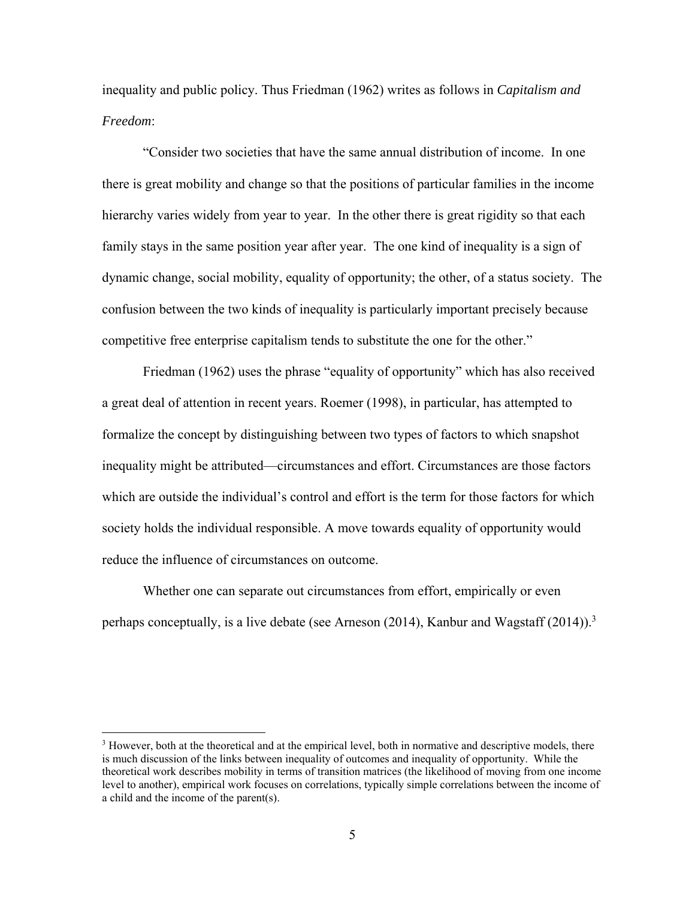inequality and public policy. Thus Friedman (1962) writes as follows in *Capitalism and Freedom*:

 "Consider two societies that have the same annual distribution of income. In one there is great mobility and change so that the positions of particular families in the income hierarchy varies widely from year to year. In the other there is great rigidity so that each family stays in the same position year after year. The one kind of inequality is a sign of dynamic change, social mobility, equality of opportunity; the other, of a status society. The confusion between the two kinds of inequality is particularly important precisely because competitive free enterprise capitalism tends to substitute the one for the other."

 Friedman (1962) uses the phrase "equality of opportunity" which has also received a great deal of attention in recent years. Roemer (1998), in particular, has attempted to formalize the concept by distinguishing between two types of factors to which snapshot inequality might be attributed—circumstances and effort. Circumstances are those factors which are outside the individual's control and effort is the term for those factors for which society holds the individual responsible. A move towards equality of opportunity would reduce the influence of circumstances on outcome.

 Whether one can separate out circumstances from effort, empirically or even perhaps conceptually, is a live debate (see Arneson (2014), Kanbur and Wagstaff (2014)).<sup>3</sup>

1

<sup>&</sup>lt;sup>3</sup> However, both at the theoretical and at the empirical level, both in normative and descriptive models, there is much discussion of the links between inequality of outcomes and inequality of opportunity. While the theoretical work describes mobility in terms of transition matrices (the likelihood of moving from one income level to another), empirical work focuses on correlations, typically simple correlations between the income of a child and the income of the parent(s).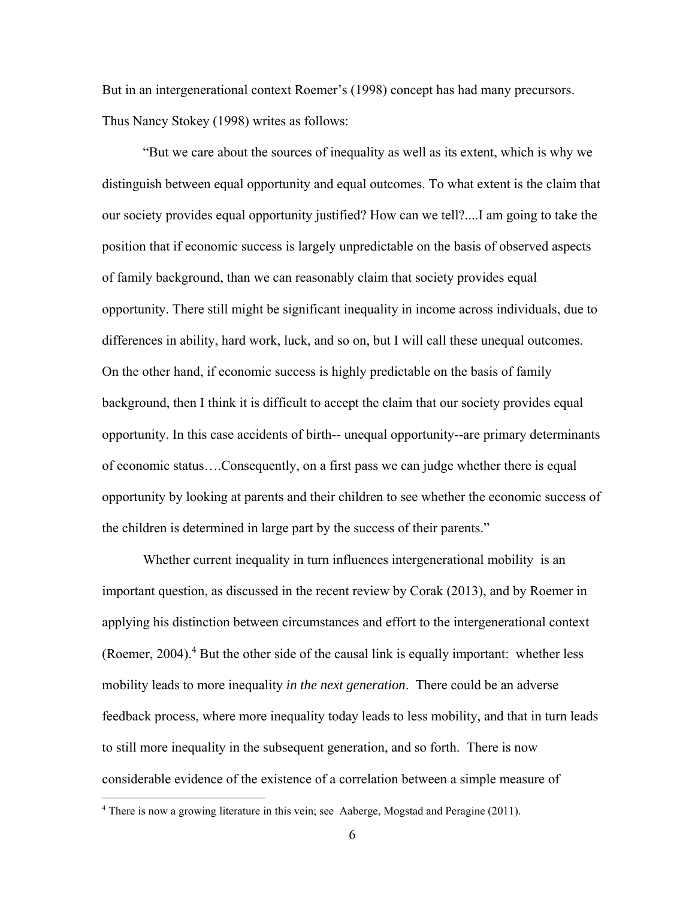But in an intergenerational context Roemer's (1998) concept has had many precursors. Thus Nancy Stokey (1998) writes as follows:

 "But we care about the sources of inequality as well as its extent, which is why we distinguish between equal opportunity and equal outcomes. To what extent is the claim that our society provides equal opportunity justified? How can we tell?....I am going to take the position that if economic success is largely unpredictable on the basis of observed aspects of family background, than we can reasonably claim that society provides equal opportunity. There still might be significant inequality in income across individuals, due to differences in ability, hard work, luck, and so on, but I will call these unequal outcomes. On the other hand, if economic success is highly predictable on the basis of family background, then I think it is difficult to accept the claim that our society provides equal opportunity. In this case accidents of birth-- unequal opportunity--are primary determinants of economic status….Consequently, on a first pass we can judge whether there is equal opportunity by looking at parents and their children to see whether the economic success of the children is determined in large part by the success of their parents."

 Whether current inequality in turn influences intergenerational mobility is an important question, as discussed in the recent review by Corak (2013), and by Roemer in applying his distinction between circumstances and effort to the intergenerational context (Roemer, 2004).<sup>4</sup> But the other side of the causal link is equally important: whether less mobility leads to more inequality *in the next generation*. There could be an adverse feedback process, where more inequality today leads to less mobility, and that in turn leads to still more inequality in the subsequent generation, and so forth. There is now considerable evidence of the existence of a correlation between a simple measure of

<u>.</u>

<sup>&</sup>lt;sup>4</sup> There is now a growing literature in this vein; see Aaberge, Mogstad and Peragine (2011).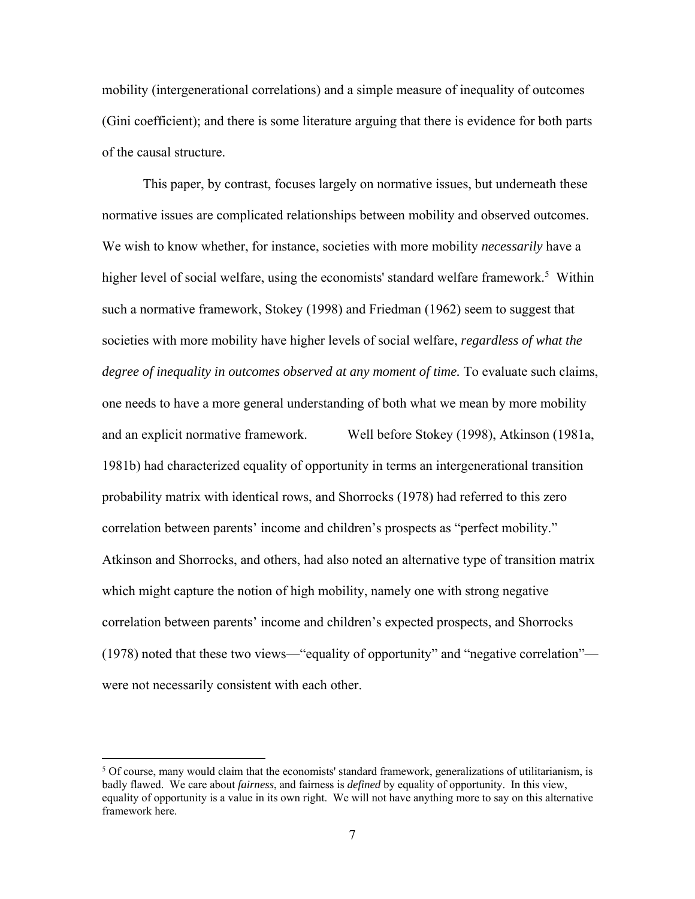mobility (intergenerational correlations) and a simple measure of inequality of outcomes (Gini coefficient); and there is some literature arguing that there is evidence for both parts of the causal structure.

 This paper, by contrast, focuses largely on normative issues, but underneath these normative issues are complicated relationships between mobility and observed outcomes. We wish to know whether, for instance, societies with more mobility *necessarily* have a higher level of social welfare, using the economists' standard welfare framework.<sup>5</sup> Within such a normative framework, Stokey (1998) and Friedman (1962) seem to suggest that societies with more mobility have higher levels of social welfare, *regardless of what the degree of inequality in outcomes observed at any moment of time.* To evaluate such claims, one needs to have a more general understanding of both what we mean by more mobility and an explicit normative framework. Well before Stokey (1998), Atkinson (1981a, 1981b) had characterized equality of opportunity in terms an intergenerational transition probability matrix with identical rows, and Shorrocks (1978) had referred to this zero correlation between parents' income and children's prospects as "perfect mobility." Atkinson and Shorrocks, and others, had also noted an alternative type of transition matrix which might capture the notion of high mobility, namely one with strong negative correlation between parents' income and children's expected prospects, and Shorrocks (1978) noted that these two views—"equality of opportunity" and "negative correlation" were not necessarily consistent with each other.

 $\overline{a}$ 

 $<sup>5</sup>$  Of course, many would claim that the economists' standard framework, generalizations of utilitarianism, is</sup> badly flawed. We care about *fairness*, and fairness is *defined* by equality of opportunity. In this view, equality of opportunity is a value in its own right. We will not have anything more to say on this alternative framework here.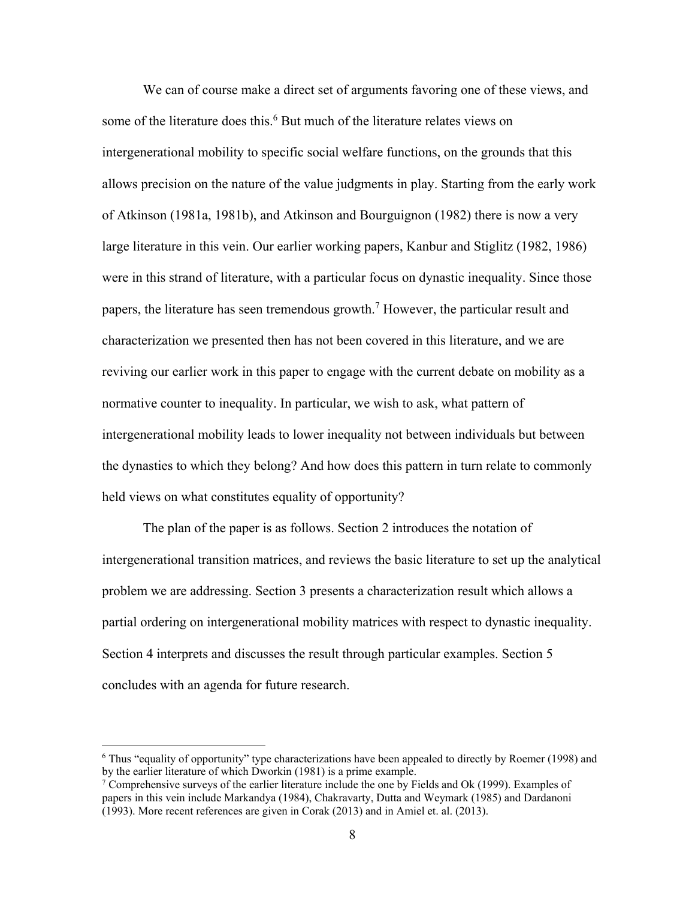We can of course make a direct set of arguments favoring one of these views, and some of the literature does this.<sup>6</sup> But much of the literature relates views on intergenerational mobility to specific social welfare functions, on the grounds that this allows precision on the nature of the value judgments in play. Starting from the early work of Atkinson (1981a, 1981b), and Atkinson and Bourguignon (1982) there is now a very large literature in this vein. Our earlier working papers, Kanbur and Stiglitz (1982, 1986) were in this strand of literature, with a particular focus on dynastic inequality. Since those papers, the literature has seen tremendous growth.<sup>7</sup> However, the particular result and characterization we presented then has not been covered in this literature, and we are reviving our earlier work in this paper to engage with the current debate on mobility as a normative counter to inequality. In particular, we wish to ask, what pattern of intergenerational mobility leads to lower inequality not between individuals but between the dynasties to which they belong? And how does this pattern in turn relate to commonly held views on what constitutes equality of opportunity?

 The plan of the paper is as follows. Section 2 introduces the notation of intergenerational transition matrices, and reviews the basic literature to set up the analytical problem we are addressing. Section 3 presents a characterization result which allows a partial ordering on intergenerational mobility matrices with respect to dynastic inequality. Section 4 interprets and discusses the result through particular examples. Section 5 concludes with an agenda for future research.

 $\overline{a}$ 

<sup>6</sup> Thus "equality of opportunity" type characterizations have been appealed to directly by Roemer (1998) and by the earlier literature of which Dworkin (1981) is a prime example.

<sup>7</sup> Comprehensive surveys of the earlier literature include the one by Fields and Ok (1999). Examples of papers in this vein include Markandya (1984), Chakravarty, Dutta and Weymark (1985) and Dardanoni (1993). More recent references are given in Corak (2013) and in Amiel et. al. (2013).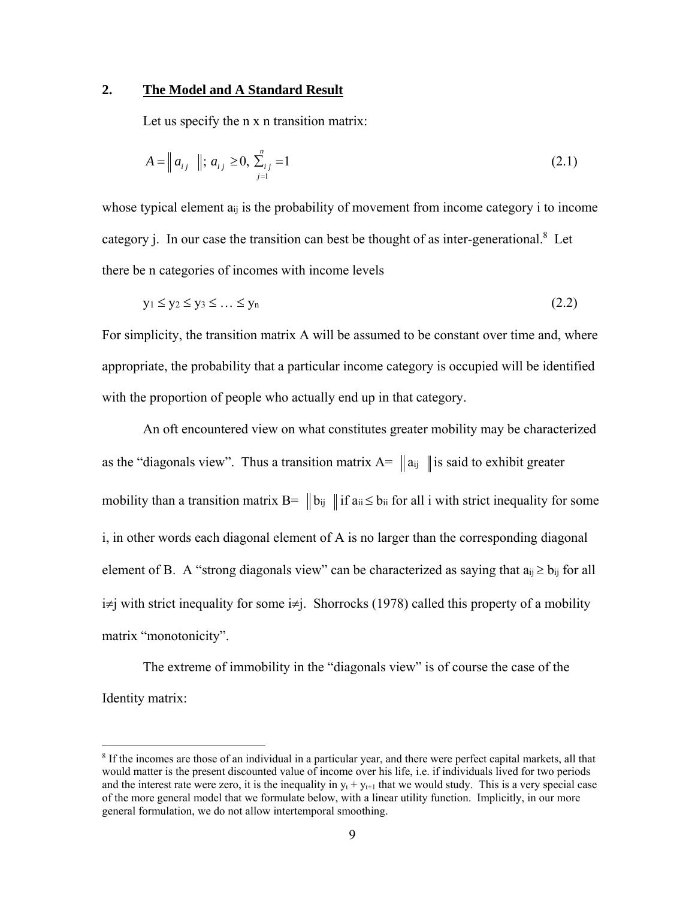#### **2. The Model and A Standard Result**

Let us specify the n x n transition matrix:

$$
A = || a_{ij} ||; a_{ij} \ge 0, \sum_{j=1}^{n} u_{ij} = 1
$$
\n(2.1)

whose typical element  $a_{ij}$  is the probability of movement from income category i to income category j. In our case the transition can best be thought of as inter-generational.<sup>8</sup> Let there be n categories of incomes with income levels

$$
y_1 \le y_2 \le y_3 \le \dots \le y_n \tag{2.2}
$$

For simplicity, the transition matrix A will be assumed to be constant over time and, where appropriate, the probability that a particular income category is occupied will be identified with the proportion of people who actually end up in that category.

 An oft encountered view on what constitutes greater mobility may be characterized as the "diagonals view". Thus a transition matrix  $A = ||a_{ij}||$  is said to exhibit greater mobility than a transition matrix  $B = ||b_{ij}||$  if  $a_{ii} \le b_{ii}$  for all i with strict inequality for some i, in other words each diagonal element of A is no larger than the corresponding diagonal element of B. A "strong diagonals view" can be characterized as saying that  $a_{ij} \ge b_{ij}$  for all  $i\neq j$  with strict inequality for some  $i\neq j$ . Shorrocks (1978) called this property of a mobility matrix "monotonicity".

 The extreme of immobility in the "diagonals view" is of course the case of the Identity matrix:

1

<sup>8</sup> If the incomes are those of an individual in a particular year, and there were perfect capital markets, all that would matter is the present discounted value of income over his life, i.e. if individuals lived for two periods and the interest rate were zero, it is the inequality in  $y_t + y_{t+1}$  that we would study. This is a very special case of the more general model that we formulate below, with a linear utility function. Implicitly, in our more general formulation, we do not allow intertemporal smoothing.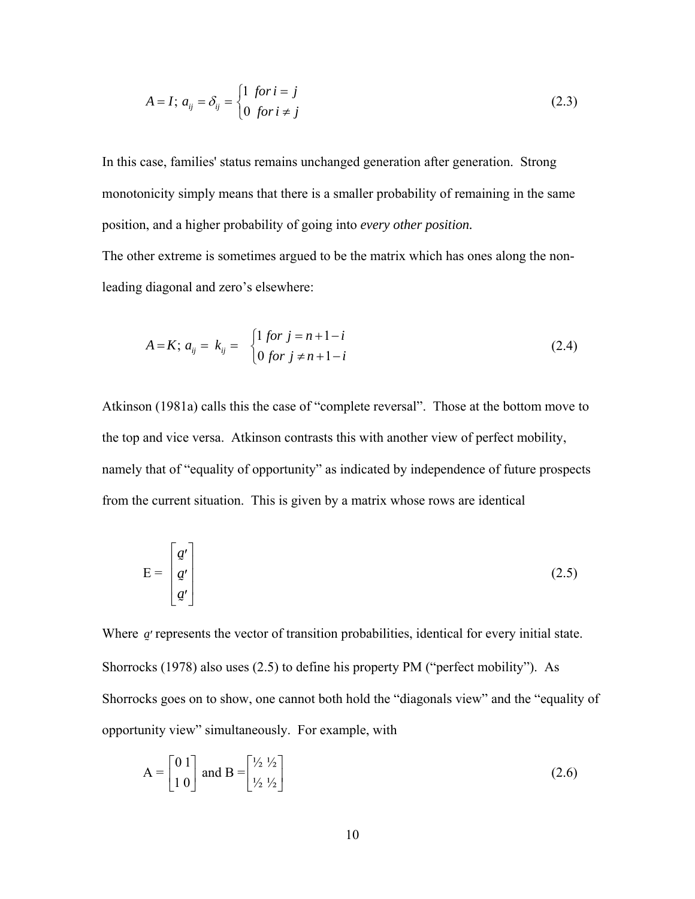$$
A = I; a_{ij} = \delta_{ij} = \begin{cases} 1 & \text{for } i = j \\ 0 & \text{for } i \neq j \end{cases}
$$
 (2.3)

In this case, families' status remains unchanged generation after generation. Strong monotonicity simply means that there is a smaller probability of remaining in the same position, and a higher probability of going into *every other position.* 

The other extreme is sometimes argued to be the matrix which has ones along the nonleading diagonal and zero's elsewhere:

$$
A = K; \ a_{ij} = k_{ij} = \begin{cases} 1 \text{ for } j = n+1-i \\ 0 \text{ for } j \neq n+1-i \end{cases} \tag{2.4}
$$

Atkinson (1981a) calls this the case of "complete reversal". Those at the bottom move to the top and vice versa. Atkinson contrasts this with another view of perfect mobility, namely that of "equality of opportunity" as indicated by independence of future prospects from the current situation. This is given by a matrix whose rows are identical

$$
E = \begin{bmatrix} g' \\ g' \\ g' \end{bmatrix} \tag{2.5}
$$

Where *a* represents the vector of transition probabilities, identical for every initial state. Shorrocks (1978) also uses (2.5) to define his property PM ("perfect mobility"). As Shorrocks goes on to show, one cannot both hold the "diagonals view" and the "equality of opportunity view" simultaneously. For example, with

$$
A = \begin{bmatrix} 0 & 1 \\ 1 & 0 \end{bmatrix} \text{ and } B = \begin{bmatrix} \frac{1}{2} & \frac{1}{2} \\ \frac{1}{2} & \frac{1}{2} \end{bmatrix}
$$
 (2.6)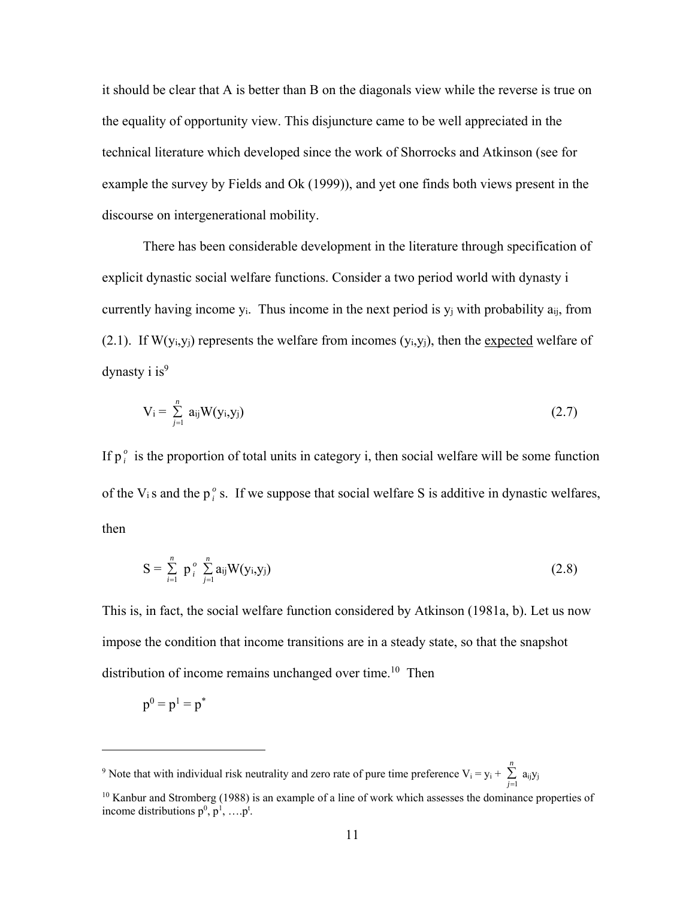it should be clear that A is better than B on the diagonals view while the reverse is true on the equality of opportunity view. This disjuncture came to be well appreciated in the technical literature which developed since the work of Shorrocks and Atkinson (see for example the survey by Fields and Ok (1999)), and yet one finds both views present in the discourse on intergenerational mobility.

 There has been considerable development in the literature through specification of explicit dynastic social welfare functions. Consider a two period world with dynasty i currently having income y<sub>i</sub>. Thus income in the next period is  $y_i$  with probability  $a_{ij}$ , from (2.1). If  $W(y_i, y_i)$  represents the welfare from incomes  $(y_i, y_i)$ , then the expected welfare of dynasty i  $is^9$ 

$$
V_i = \sum_{j=1}^n a_{ij} W(y_i, y_j)
$$
 (2.7)

If  $p_i^o$  is the proportion of total units in category i, then social welfare will be some function of the V<sub>i</sub> s and the  $p_i^o$  s. If we suppose that social welfare S is additive in dynastic welfares, then

$$
S = \sum_{i=1}^{n} p_i^o \sum_{j=1}^{n} a_{ij} W(y_i, y_j)
$$
 (2.8)

This is, in fact, the social welfare function considered by Atkinson (1981a, b). Let us now impose the condition that income transitions are in a steady state, so that the snapshot distribution of income remains unchanged over time.<sup>10</sup> Then

$$
\mathrm{p}^0=\mathrm{p}^1=\mathrm{p}^*
$$

 $\overline{a}$ 

<sup>&</sup>lt;sup>9</sup> Note that with individual risk neutrality and zero rate of pure time preference  $V_i = y_i + \sum_{j=1}^{n}$ *n*  $\sum_{j=1}$  a<sub>ij</sub>y<sub>j</sub>

<sup>&</sup>lt;sup>10</sup> Kanbur and Stromberg (1988) is an example of a line of work which assesses the dominance properties of income distributions  $p^0$ ,  $p^1$ , .... $p^t$ .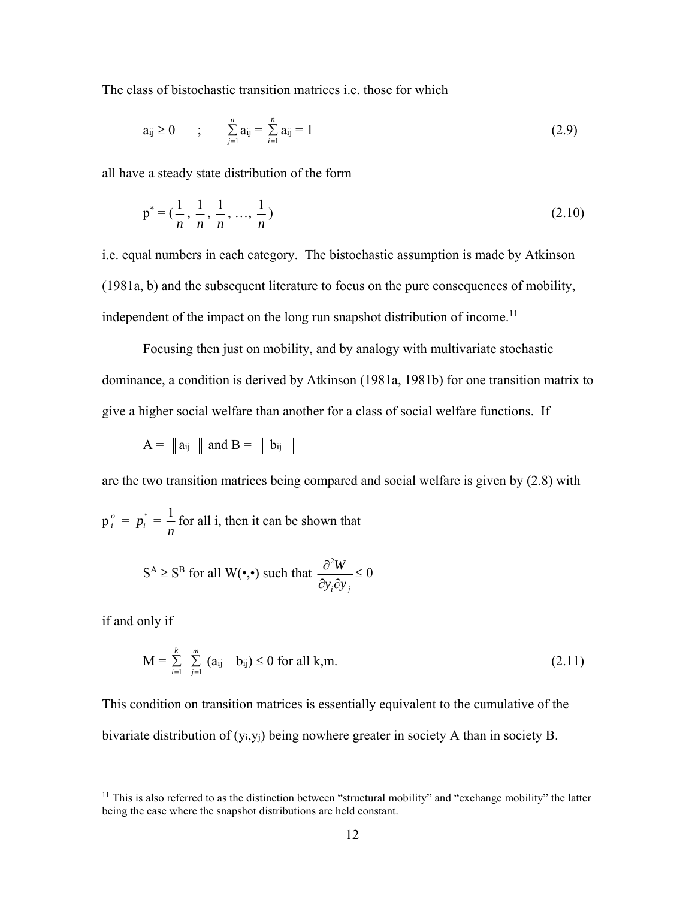The class of bistochastic transition matrices *i.e.* those for which

$$
a_{ij} \ge 0 \qquad ; \qquad \sum_{j=1}^n a_{ij} = \sum_{i=1}^n a_{ij} = 1 \tag{2.9}
$$

all have a steady state distribution of the form

$$
p^* = \left(\frac{1}{n}, \frac{1}{n}, \frac{1}{n}, \dots, \frac{1}{n}\right) \tag{2.10}
$$

i.e. equal numbers in each category. The bistochastic assumption is made by Atkinson (1981a, b) and the subsequent literature to focus on the pure consequences of mobility, independent of the impact on the long run snapshot distribution of income.<sup>11</sup>

 Focusing then just on mobility, and by analogy with multivariate stochastic dominance, a condition is derived by Atkinson (1981a, 1981b) for one transition matrix to give a higher social welfare than another for a class of social welfare functions. If

 $A = ||a_{ij}||$  and  $B = ||b_{ij}||$ 

are the two transition matrices being compared and social welfare is given by (2.8) with

 $p_i^o = p_i^* = \frac{1}{n}$ *n* for all i, then it can be shown that

$$
S^A \ge S^B \text{ for all } W(\bullet, \bullet) \text{ such that } \frac{\partial^2 W}{\partial y_i \partial y_j} \le 0
$$

if and only if

 $\overline{a}$ 

$$
M = \sum_{i=1}^{k} \sum_{j=1}^{m} (a_{ij} - b_{ij}) \le 0 \text{ for all } k, m.
$$
 (2.11)

This condition on transition matrices is essentially equivalent to the cumulative of the bivariate distribution of (yi,yj) being nowhere greater in society A than in society B.

<sup>&</sup>lt;sup>11</sup> This is also referred to as the distinction between "structural mobility" and "exchange mobility" the latter being the case where the snapshot distributions are held constant.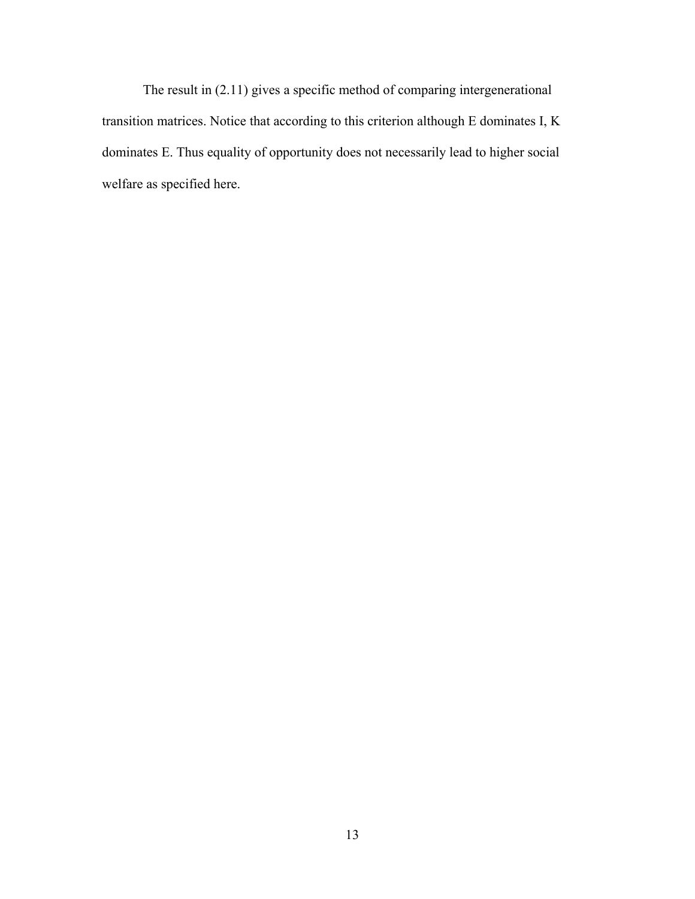The result in (2.11) gives a specific method of comparing intergenerational transition matrices. Notice that according to this criterion although E dominates I, K dominates E. Thus equality of opportunity does not necessarily lead to higher social welfare as specified here.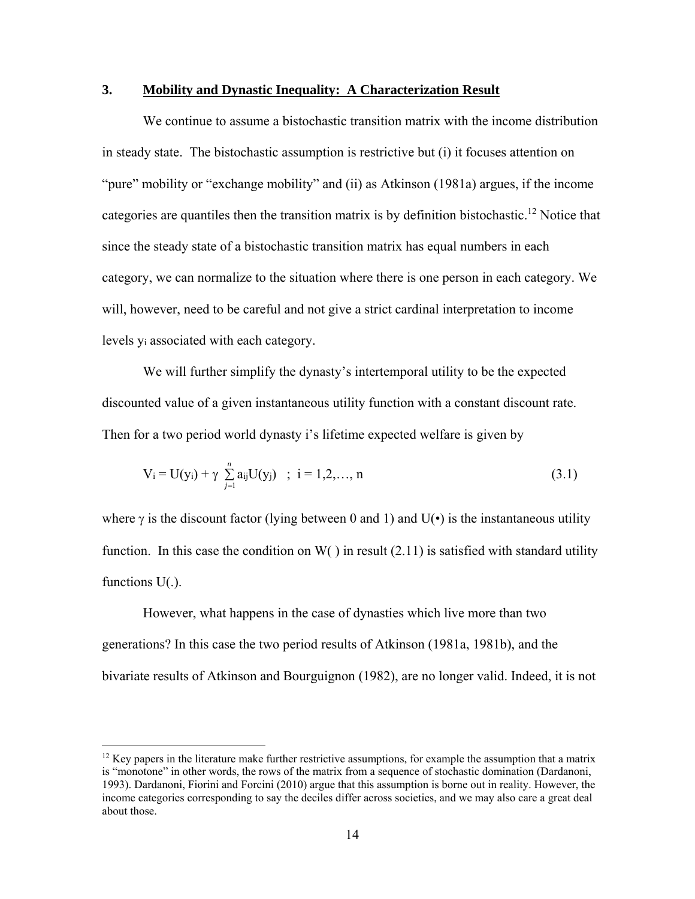#### **3. Mobility and Dynastic Inequality: A Characterization Result**

 We continue to assume a bistochastic transition matrix with the income distribution in steady state. The bistochastic assumption is restrictive but (i) it focuses attention on "pure" mobility or "exchange mobility" and (ii) as Atkinson (1981a) argues, if the income categories are quantiles then the transition matrix is by definition bistochastic.<sup>12</sup> Notice that since the steady state of a bistochastic transition matrix has equal numbers in each category, we can normalize to the situation where there is one person in each category. We will, however, need to be careful and not give a strict cardinal interpretation to income levels yi associated with each category.

 We will further simplify the dynasty's intertemporal utility to be the expected discounted value of a given instantaneous utility function with a constant discount rate. Then for a two period world dynasty i's lifetime expected welfare is given by

$$
V_i = U(y_i) + \gamma \sum_{j=1}^{n} a_{ij} U(y_j) \quad ; \quad i = 1, 2, ..., n
$$
 (3.1)

where  $\gamma$  is the discount factor (lying between 0 and 1) and U( $\bullet$ ) is the instantaneous utility function. In this case the condition on  $W( )$  in result (2.11) is satisfied with standard utility functions  $U(.)$ .

 However, what happens in the case of dynasties which live more than two generations? In this case the two period results of Atkinson (1981a, 1981b), and the bivariate results of Atkinson and Bourguignon (1982), are no longer valid. Indeed, it is not

 $\overline{a}$ 

 $12$  Key papers in the literature make further restrictive assumptions, for example the assumption that a matrix is "monotone" in other words, the rows of the matrix from a sequence of stochastic domination (Dardanoni, 1993). Dardanoni, Fiorini and Forcini (2010) argue that this assumption is borne out in reality. However, the income categories corresponding to say the deciles differ across societies, and we may also care a great deal about those.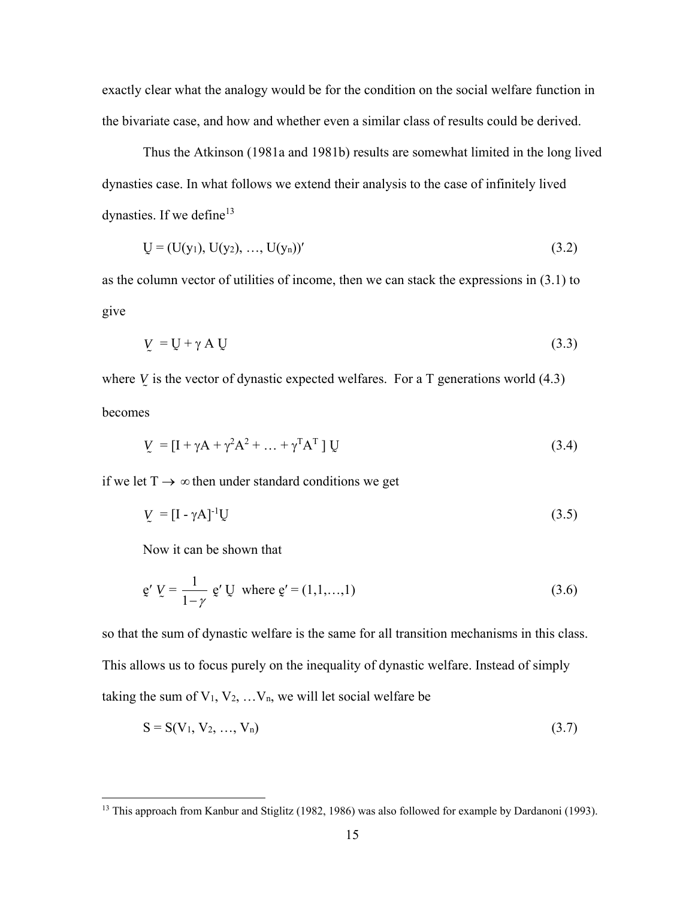exactly clear what the analogy would be for the condition on the social welfare function in the bivariate case, and how and whether even a similar class of results could be derived.

 Thus the Atkinson (1981a and 1981b) results are somewhat limited in the long lived dynasties case. In what follows we extend their analysis to the case of infinitely lived dynasties. If we define<sup>13</sup>

$$
U = (U(y_1), U(y_2), ..., U(y_n))'
$$
\n(3.2)

as the column vector of utilities of income, then we can stack the expressions in (3.1) to give

$$
V = U + \gamma A U \tag{3.3}
$$

where  $V$  is the vector of dynastic expected welfares. For a  $T$  generations world  $(4.3)$  $\tilde{ }$ becomes

$$
V = \left[I + \gamma A + \gamma^2 A^2 + \dots + \gamma^T A^T\right] U \tag{3.4}
$$

if we let  $T \rightarrow \infty$  then under standard conditions we get

$$
V = [I - \gamma A]^{-1} U \tag{3.5}
$$

Now it can be shown that

 $\overline{a}$ 

$$
g' V = \frac{1}{1 - \gamma} g' U \text{ where } g' = (1, 1, \dots, 1)
$$
 (3.6)

so that the sum of dynastic welfare is the same for all transition mechanisms in this class. This allows us to focus purely on the inequality of dynastic welfare. Instead of simply taking the sum of  $V_1, V_2, \ldots, V_n$ , we will let social welfare be

$$
S = S(V_1, V_2, ..., V_n)
$$
 (3.7)

<sup>&</sup>lt;sup>13</sup> This approach from Kanbur and Stiglitz (1982, 1986) was also followed for example by Dardanoni (1993).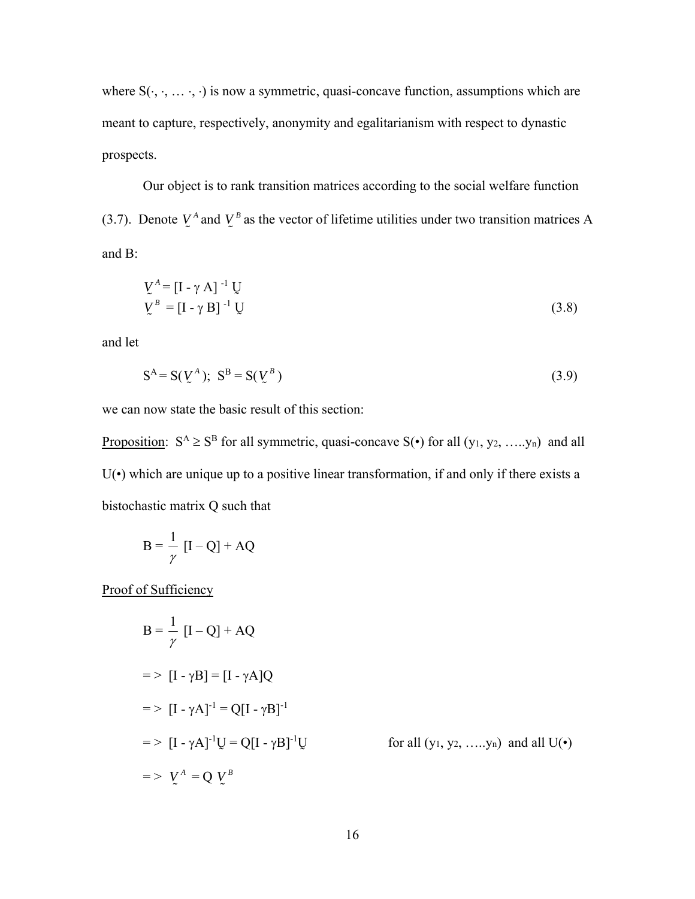where  $S(\cdot, \cdot, \ldots, \cdot)$  is now a symmetric, quasi-concave function, assumptions which are meant to capture, respectively, anonymity and egalitarianism with respect to dynastic prospects.

 Our object is to rank transition matrices according to the social welfare function (3.7). Denote  $V^A$  and  $V^B$  as the vector of lifetime utilities under two transition matrices A and B:

$$
V^A = [I - \gamma A]^{-1} U
$$
  
\n
$$
V^B = [I - \gamma B]^{-1} U
$$
\n(3.8)

and let

$$
S^A = S(\underline{V}^A); \quad S^B = S(\underline{V}^B)
$$
\n
$$
(3.9)
$$

we can now state the basic result of this section:

Proposition:  $S^A \geq S^B$  for all symmetric, quasi-concave  $S(\cdot)$  for all  $(y_1, y_2, \ldots, y_n)$  and all  $U(\cdot)$  which are unique up to a positive linear transformation, if and only if there exists a bistochastic matrix Q such that

$$
B = \frac{1}{\gamma} [I - Q] + AQ
$$

Proof of Sufficiency

$$
B = \frac{1}{\gamma} [I - Q] + AQ
$$
  
\n
$$
= > [I - \gamma B] = [I - \gamma A]Q
$$
  
\n
$$
= > [I - \gamma A]^{-1} = Q[I - \gamma B]^{-1}
$$
  
\n
$$
= > [I - \gamma A]^{-1}U = Q[I - \gamma B]^{-1}U \qquad \text{for all } (y_1, y_2, \dots, y_n) \text{ and all } U(\cdot)
$$
  
\n
$$
= > U^A = Q U^B
$$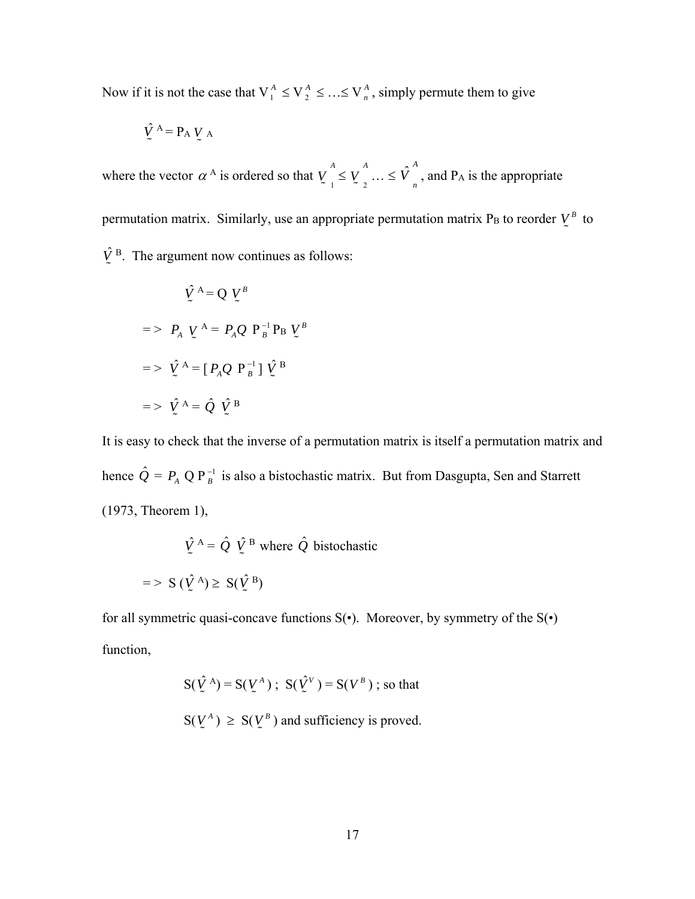Now if it is not the case that  $V_1^A \leq V_2^A \leq ... \leq V_n^A$ , simply permute them to give

$$
\hat{V}^{\text{A}} = P_{\text{A}} V_{\text{A}}
$$

where the vector  $\alpha^A$  is ordered so that  $V_{\alpha}$  $V_{1}^{A} \leq V_{2}^{A}$  $V_2^A$  ...  $\leq \hat{V}_n^A$ , and P<sub>A</sub> is the appropriate permutation matrix. Similarly, use an appropriate permutation matrix P<sub>B</sub> to reorder  $V^B$  to  $\hat{V}^{\text{B}}$ . The argument now continues as follows:  $\tilde{ }$ 

$$
\hat{V}^{A} = Q V^{B}
$$
\n
$$
= \sum P_{A} V^{A} = P_{A} Q P_{B}^{-1} P_{B} V^{B}
$$
\n
$$
= \sum \hat{V}^{A} = [P_{A} Q P_{B}^{-1}] \hat{V}^{B}
$$
\n
$$
= \sum \hat{V}^{A} = \hat{Q} \hat{V}^{B}
$$

It is easy to check that the inverse of a permutation matrix is itself a permutation matrix and hence  $\hat{Q} = P_A Q P_B^{-1}$  is also a bistochastic matrix. But from Dasgupta, Sen and Starrett (1973, Theorem 1),

$$
\hat{V}^{\text{A}} = \hat{Q} \ \hat{V}^{\text{B}} \text{ where } \hat{Q} \text{ bistochastic}
$$

$$
= > S \ (\hat{V}^{\text{A}}) \ge S (\hat{V}^{\text{B}})
$$

for all symmetric quasi-concave functions  $S(\cdot)$ . Moreover, by symmetry of the  $S(\cdot)$ function,

$$
S(\hat{V}^A) = S(V^A) \; ; \; S(\hat{V}^V) = S(V^B) \; ; \; \text{so that}
$$
  

$$
S(V^A) \geq S(V^B) \text{ and sufficiency is proved.}
$$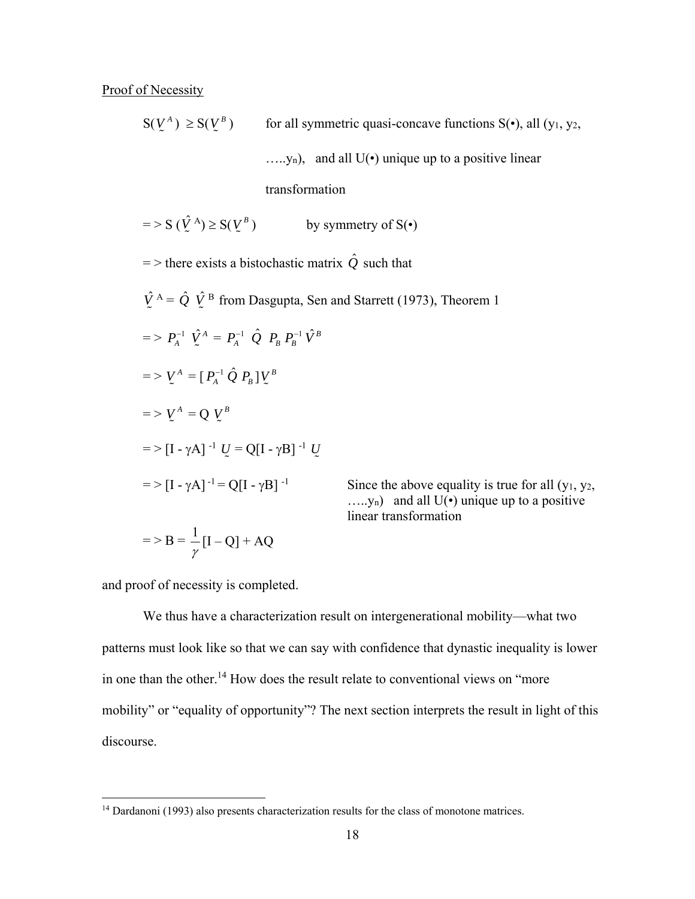Proof of Necessity

 $S(\mathcal{V}^A) \geq S(\mathcal{V}^B)$ for all symmetric quasi-concave functions  $S(\cdot)$ , all  $(y_1, y_2,$  $..., y_n$ , and all  $U(\cdot)$  unique up to a positive linear transformation  $=$  > S ( $\hat{V}^{A}$ )  $\geq$  S( $V^{B}$  $\tilde{ }$ by symmetry of  $S(\cdot)$  $=$  > there exists a bistochastic matrix  $\hat{Q}$  such that  $\hat{V}^{\text{A}} = \hat{Q} \hat{V}^{\text{B}}$  from Dasgupta, Sen and Starrett (1973), Theorem 1  $\tilde{ }$ Ĩ  $=$  >  $P_A^{-1}$   $\hat{V}_A^A = P_A^{-1}$   $\hat{Q}$   $P_B$   $P_B^{-1}$   $\hat{V}_B^B$  $=$   $>$   $\mathop{\rm {}V}\nolimits^{A}$   $=$   $[$   $P_{A}^{-1}$   $\hat{Q}$   $P_{B}$   $]$   $\mathop{\rm {}V}\nolimits^{B}$  $\tilde{ }$  $=$  >  $V^A = Q V^B$  $\tilde{ }$  $=$  > [I - γA] <sup>-1</sup> *U* = Q[I - γB] <sup>-1</sup> *U*  $\tilde{ }$  $\tilde{ }$  $=$  > [I -  $\gamma$ A]<sup>-1</sup> = Q[I -  $\gamma$ B]<sup>-1</sup> Since the above equality is true for all (y<sub>1</sub>, y<sub>2</sub>,  $...,v_n$ ) and all  $U(\cdot)$  unique up to a positive linear transformation  $=$  > B =  $\frac{1}{ }$ 

and proof of necessity is completed.

 $[I - Q] + AQ$ 

γ

 $\overline{a}$ 

 We thus have a characterization result on intergenerational mobility—what two patterns must look like so that we can say with confidence that dynastic inequality is lower in one than the other.14 How does the result relate to conventional views on "more mobility" or "equality of opportunity"? The next section interprets the result in light of this discourse.

<sup>&</sup>lt;sup>14</sup> Dardanoni (1993) also presents characterization results for the class of monotone matrices.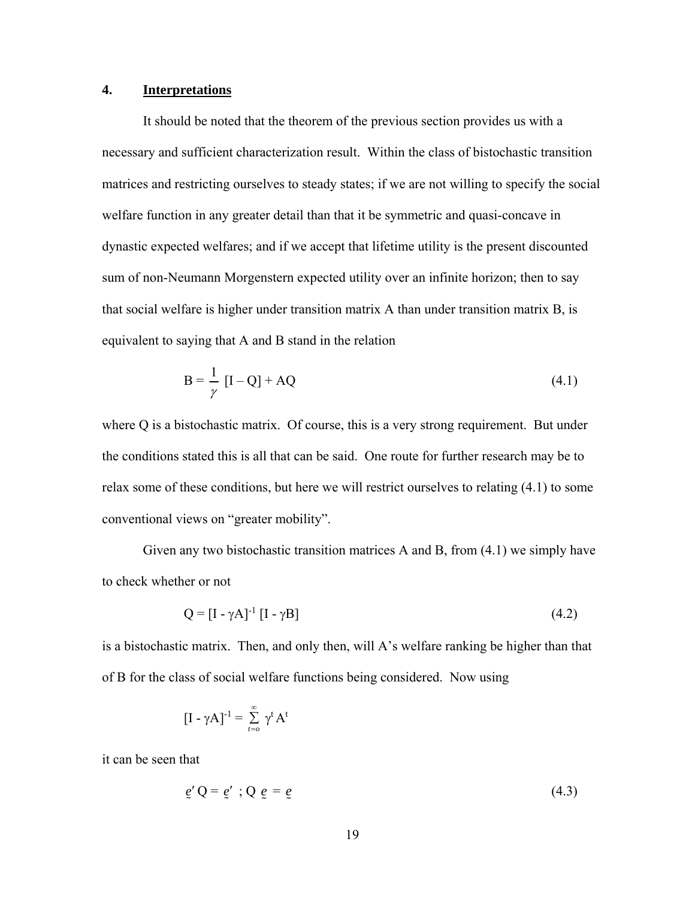#### **4. Interpretations**

 It should be noted that the theorem of the previous section provides us with a necessary and sufficient characterization result. Within the class of bistochastic transition matrices and restricting ourselves to steady states; if we are not willing to specify the social welfare function in any greater detail than that it be symmetric and quasi-concave in dynastic expected welfares; and if we accept that lifetime utility is the present discounted sum of non-Neumann Morgenstern expected utility over an infinite horizon; then to say that social welfare is higher under transition matrix A than under transition matrix B, is equivalent to saying that A and B stand in the relation

$$
B = \frac{1}{\gamma} \left[ I - Q \right] + AQ \tag{4.1}
$$

where Q is a bistochastic matrix. Of course, this is a very strong requirement. But under the conditions stated this is all that can be said. One route for further research may be to relax some of these conditions, but here we will restrict ourselves to relating (4.1) to some conventional views on "greater mobility".

 Given any two bistochastic transition matrices A and B, from (4.1) we simply have to check whether or not

$$
Q = [I - \gamma A]^{-1} [I - \gamma B]
$$
\n
$$
(4.2)
$$

is a bistochastic matrix. Then, and only then, will A's welfare ranking be higher than that of B for the class of social welfare functions being considered. Now using

$$
[\mathrm{I} \text{ -- } \gamma \mathrm{A}]^{\text{-1}} = \sum_{t=o}^{\infty} \gamma^t \mathrm{A}^t
$$

it can be seen that

$$
\underline{e'} \, \mathbf{Q} = \underline{e'} \, ; \mathbf{Q} \, \underline{e} = \underline{e} \tag{4.3}
$$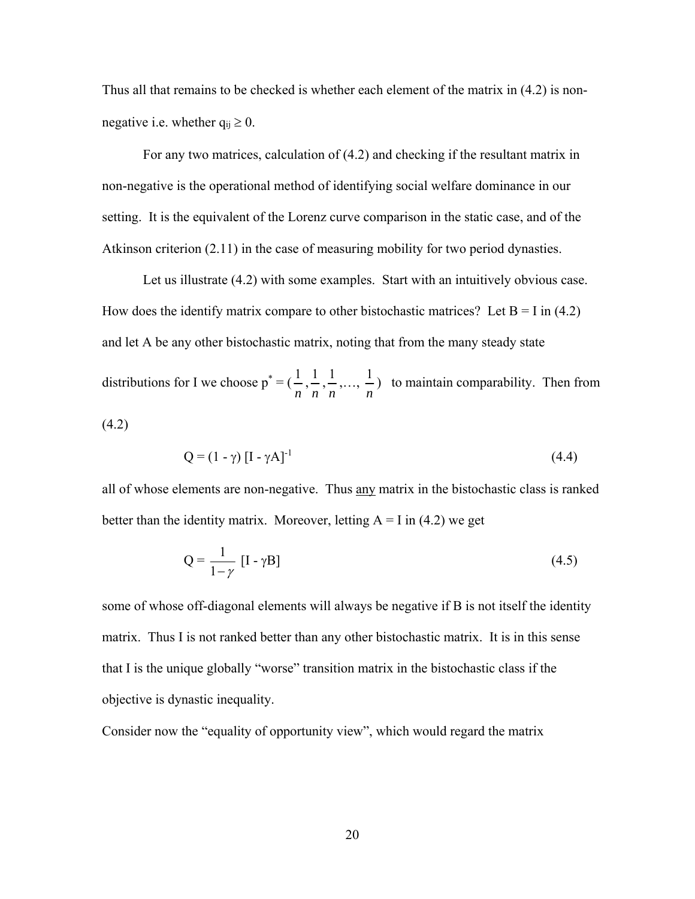Thus all that remains to be checked is whether each element of the matrix in (4.2) is nonnegative i.e. whether  $q_{ii} \ge 0$ .

 For any two matrices, calculation of (4.2) and checking if the resultant matrix in non-negative is the operational method of identifying social welfare dominance in our setting. It is the equivalent of the Lorenz curve comparison in the static case, and of the Atkinson criterion (2.11) in the case of measuring mobility for two period dynasties.

Let us illustrate  $(4.2)$  with some examples. Start with an intuitively obvious case. How does the identify matrix compare to other bistochastic matrices? Let  $B = I$  in (4.2) and let A be any other bistochastic matrix, noting that from the many steady state distributions for I we choose  $p^* = (\frac{1}{n})$ *n*  $\frac{1}{1}$ *n*  $\frac{1}{1}$ *n* ,…, <sup>1</sup> *n* ) to maintain comparability. Then from (4.2)

$$
Q = (1 - \gamma) \left[ I - \gamma A \right]^{-1} \tag{4.4}
$$

all of whose elements are non-negative. Thus any matrix in the bistochastic class is ranked better than the identity matrix. Moreover, letting  $A = I$  in (4.2) we get

$$
Q = \frac{1}{1 - \gamma} \left[ I - \gamma B \right] \tag{4.5}
$$

some of whose off-diagonal elements will always be negative if B is not itself the identity matrix. Thus I is not ranked better than any other bistochastic matrix. It is in this sense that I is the unique globally "worse" transition matrix in the bistochastic class if the objective is dynastic inequality.

Consider now the "equality of opportunity view", which would regard the matrix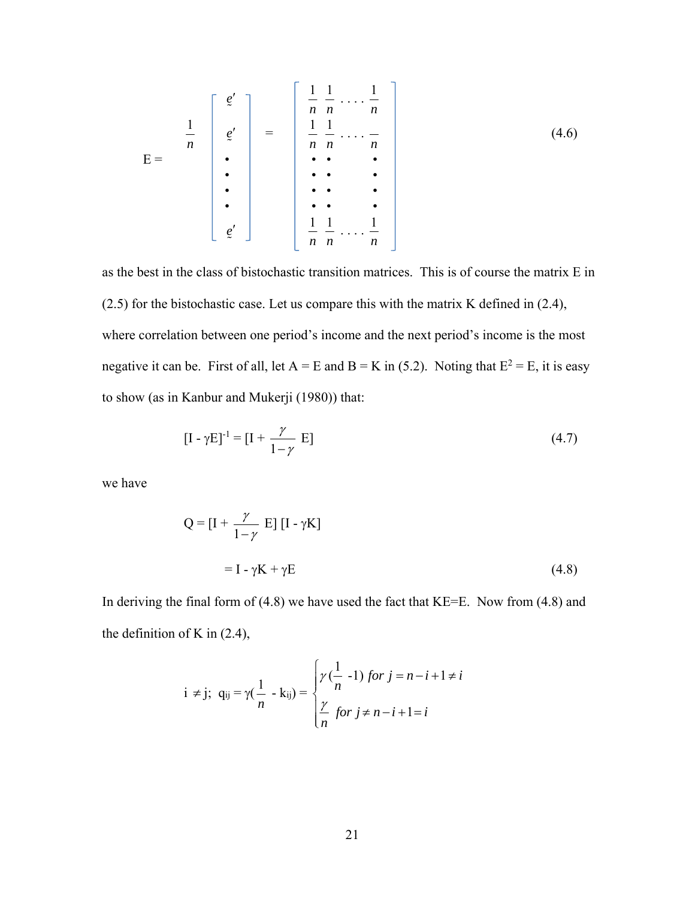$$
E = \begin{bmatrix} e' \\ \frac{1}{n} \\ e' \\ \vdots \\ e' \end{bmatrix} = \begin{bmatrix} \frac{1}{n} & \frac{1}{n} & \dots & \frac{1}{n} \\ \frac{1}{n} & \frac{1}{n} & \dots & \frac{1}{n} \\ \vdots & \vdots & \ddots & \vdots \\ \vdots & \vdots & \ddots & \vdots \\ \frac{1}{n} & \frac{1}{n} & \dots & \frac{1}{n} \end{bmatrix}
$$
(4.6)

as the best in the class of bistochastic transition matrices. This is of course the matrix E in (2.5) for the bistochastic case. Let us compare this with the matrix K defined in (2.4), where correlation between one period's income and the next period's income is the most negative it can be. First of all, let  $A = E$  and  $B = K$  in (5.2). Noting that  $E^2 = E$ , it is easy to show (as in Kanbur and Mukerji (1980)) that:

$$
[\mathbf{I} - \gamma \mathbf{E}]^{-1} = [\mathbf{I} + \frac{\gamma}{1 - \gamma} \mathbf{E}] \tag{4.7}
$$

we have

$$
Q = [I + \frac{\gamma}{1 - \gamma} E] [I - \gamma K]
$$

$$
= I - \gamma K + \gamma E
$$
(4.8)

In deriving the final form of  $(4.8)$  we have used the fact that KE=E. Now from  $(4.8)$  and the definition of K in (2.4),

$$
i \neq j; \quad q_{ij} = \gamma(\frac{1}{n} - k_{ij}) = \begin{cases} \gamma(\frac{1}{n} - 1) \text{ for } j = n - i + 1 \neq i \\ \frac{\gamma}{n} \text{ for } j \neq n - i + 1 = i \end{cases}
$$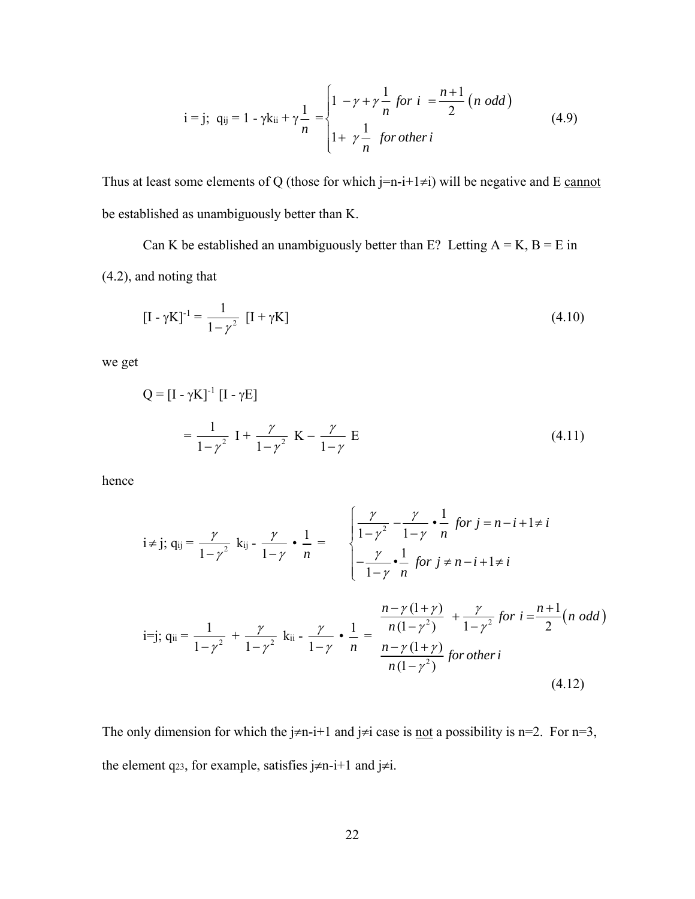$$
i = j; \ q_{ij} = 1 - \gamma k_{ii} + \gamma \frac{1}{n} = \begin{cases} 1 - \gamma + \gamma \frac{1}{n} \text{ for } i = \frac{n+1}{2} \ (n \text{ odd}) \\ 1 + \gamma \frac{1}{n} \text{ for other } i \end{cases} \tag{4.9}
$$

Thus at least some elements of Q (those for which  $j=n-i+1\neq i$ ) will be negative and E cannot be established as unambiguously better than K.

Can K be established an unambiguously better than E? Letting  $A = K$ ,  $B = E$  in (4.2), and noting that

$$
[I - \gamma K]^{-1} = \frac{1}{1 - \gamma^2} [I + \gamma K]
$$
\n(4.10)

we get

$$
Q = [I - \gamma K]^{\text{-}1} [I - \gamma E]
$$

$$
= \frac{1}{1 - \gamma^2} I + \frac{\gamma}{1 - \gamma^2} K - \frac{\gamma}{1 - \gamma} E
$$
(4.11)

hence

$$
i \neq j; q_{ij} = \frac{\gamma}{1 - \gamma^2} k_{ij} - \frac{\gamma}{1 - \gamma} \cdot \frac{1}{n} = \begin{cases} \frac{\gamma}{1 - \gamma^2} - \frac{\gamma}{1 - \gamma} \cdot \frac{1}{n} \text{ for } j = n - i + 1 \neq i \\ -\frac{\gamma}{1 - \gamma} \cdot \frac{1}{n} \text{ for } j \neq n - i + 1 \neq i \end{cases}
$$
  
i = j; q<sub>ii</sub> =  $\frac{1}{1 - \gamma^2} + \frac{\gamma}{1 - \gamma^2} k_{ii} - \frac{\gamma}{1 - \gamma} \cdot \frac{1}{n} = \frac{\frac{n - \gamma(1 + \gamma)}{n(1 - \gamma^2)} + \frac{\gamma}{1 - \gamma^2} \text{ for } i = \frac{n + 1}{2} (n \text{ odd})}{n(1 - \gamma^2)} \text{ for other } i$   
(4.12)

The only dimension for which the  $j\neq n-i+1$  and  $j\neq i$  case is <u>not</u> a possibility is n=2. For n=3, the element q23, for example, satisfies  $j \neq n-i+1$  and  $j \neq i$ .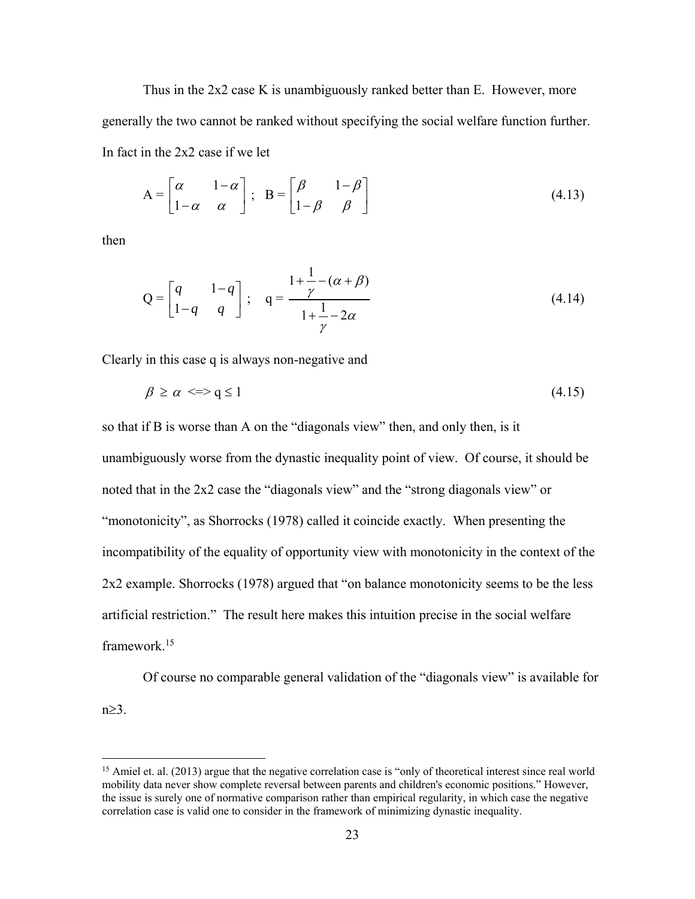Thus in the 2x2 case K is unambiguously ranked better than E. However, more generally the two cannot be ranked without specifying the social welfare function further. In fact in the 2x2 case if we let

$$
A = \begin{bmatrix} \alpha & 1 - \alpha \\ 1 - \alpha & \alpha \end{bmatrix}; \quad B = \begin{bmatrix} \beta & 1 - \beta \\ 1 - \beta & \beta \end{bmatrix}
$$
(4.13)

then

 $\overline{a}$ 

$$
Q = \begin{bmatrix} q & 1-q \\ 1-q & q \end{bmatrix}; \quad q = \frac{1+\frac{1}{\gamma}-(\alpha+\beta)}{1+\frac{1}{\gamma}-2\alpha}
$$
(4.14)

Clearly in this case q is always non-negative and

$$
\beta \ge \alpha \iff q \le 1 \tag{4.15}
$$

so that if B is worse than A on the "diagonals view" then, and only then, is it unambiguously worse from the dynastic inequality point of view. Of course, it should be noted that in the 2x2 case the "diagonals view" and the "strong diagonals view" or "monotonicity", as Shorrocks (1978) called it coincide exactly. When presenting the incompatibility of the equality of opportunity view with monotonicity in the context of the 2x2 example. Shorrocks (1978) argued that "on balance monotonicity seems to be the less artificial restriction." The result here makes this intuition precise in the social welfare framework<sup>15</sup>

 Of course no comparable general validation of the "diagonals view" is available for  $n \geq 3$ .

<sup>&</sup>lt;sup>15</sup> Amiel et. al. (2013) argue that the negative correlation case is "only of theoretical interest since real world mobility data never show complete reversal between parents and children's economic positions." However, the issue is surely one of normative comparison rather than empirical regularity, in which case the negative correlation case is valid one to consider in the framework of minimizing dynastic inequality.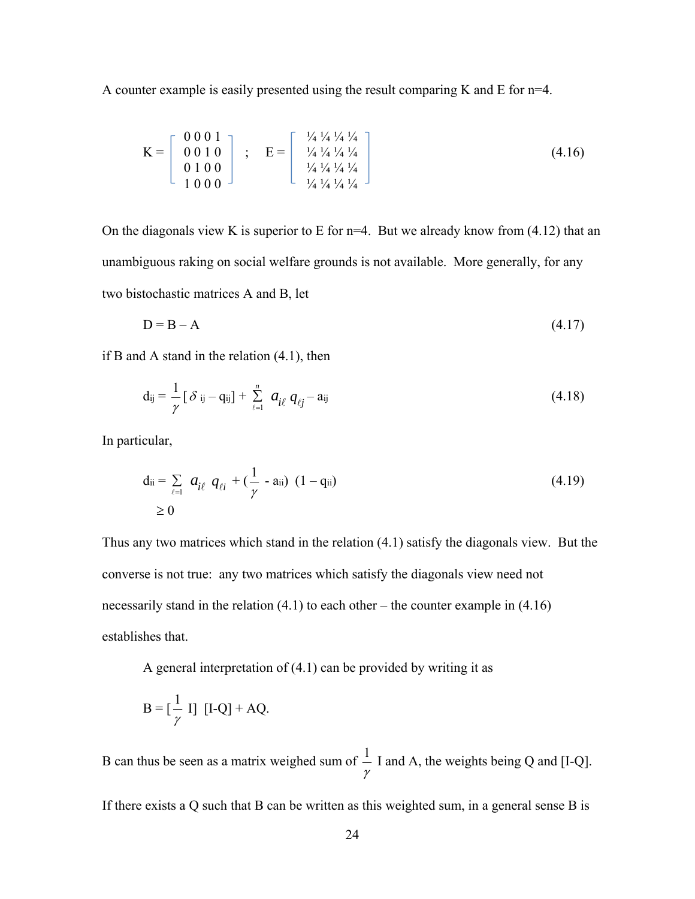A counter example is easily presented using the result comparing K and E for n=4.

$$
K = \begin{bmatrix} 0 & 0 & 0 & 1 \\ 0 & 0 & 1 & 0 \\ 0 & 1 & 0 & 0 \\ 1 & 0 & 0 & 0 \end{bmatrix} ; E = \begin{bmatrix} \frac{1}{4} & \frac{1}{4} & \frac{1}{4} & \frac{1}{4} \\ \frac{1}{4} & \frac{1}{4} & \frac{1}{4} & \frac{1}{4} \\ \frac{1}{4} & \frac{1}{4} & \frac{1}{4} & \frac{1}{4} \end{bmatrix}
$$
(4.16)

On the diagonals view K is superior to E for  $n=4$ . But we already know from (4.12) that an unambiguous raking on social welfare grounds is not available. More generally, for any two bistochastic matrices A and B, let

$$
D = B - A \tag{4.17}
$$

if B and A stand in the relation (4.1), then

$$
\mathbf{d}_{ij} = \frac{1}{\gamma} \left[ \delta_{ij} - \mathbf{q}_{ij} \right] + \sum_{\ell=1}^{n} a_{i\ell} \, q_{\ell j} - \mathbf{a}_{ij} \tag{4.18}
$$

In particular,

$$
d_{ii} = \sum_{\ell=1}^{\infty} a_{i\ell} q_{\ell i} + (\frac{1}{\gamma} - a_{ii}) (1 - q_{ii})
$$
\n
$$
\geq 0
$$
\n(4.19)

Thus any two matrices which stand in the relation (4.1) satisfy the diagonals view. But the converse is not true: any two matrices which satisfy the diagonals view need not necessarily stand in the relation  $(4.1)$  to each other – the counter example in  $(4.16)$ establishes that.

A general interpretation of  $(4.1)$  can be provided by writing it as

$$
B = \left[\frac{1}{\gamma} I\right] [I-Q] + AQ.
$$

B can thus be seen as a matrix weighed sum of  $\frac{1}{x}$ γ I and A, the weights being Q and [I-Q].

If there exists a Q such that B can be written as this weighted sum, in a general sense B is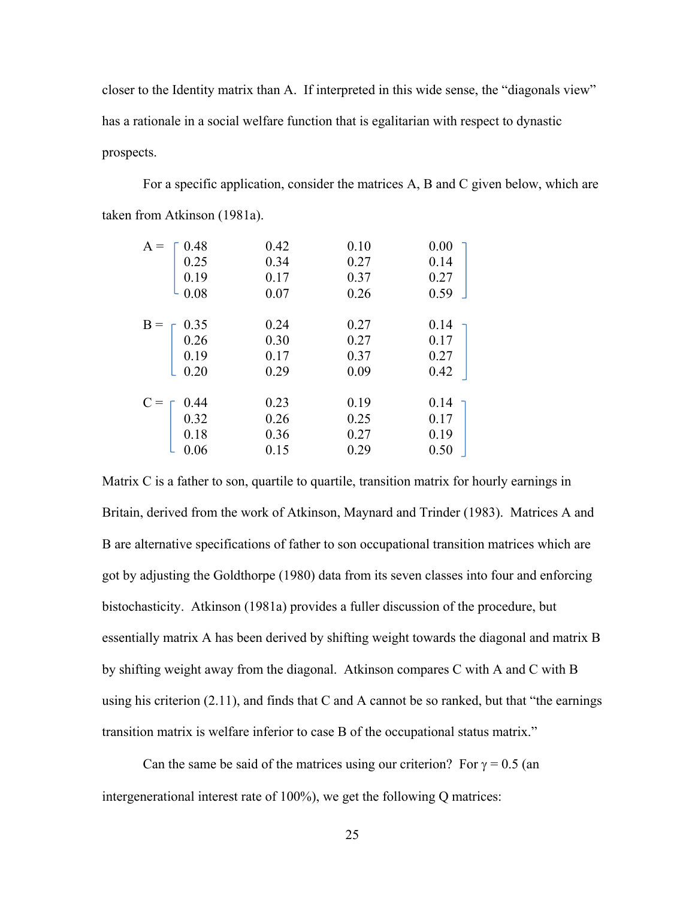closer to the Identity matrix than A. If interpreted in this wide sense, the "diagonals view" has a rationale in a social welfare function that is egalitarian with respect to dynastic prospects.

 For a specific application, consider the matrices A, B and C given below, which are taken from Atkinson (1981a).

| $A =$                                                              | 0.42 | 0.10 | 0.00 |
|--------------------------------------------------------------------|------|------|------|
|                                                                    | 0.34 | 0.27 | 0.14 |
|                                                                    | 0.17 | 0.37 | 0.27 |
| $\left[\begin{array}{c} 0.48\ 0.25\ 0.19\ 0.08 \end{array}\right]$ | 0.07 | 0.26 | 0.59 |
|                                                                    | 0.24 | 0.27 | 0.14 |
| $B = \begin{bmatrix} 0.35 \\ 0.26 \\ 0.19 \end{bmatrix}$           | 0.30 | 0.27 | 0.17 |
|                                                                    | 0.17 | 0.37 | 0.27 |
| 0.20                                                               | 0.29 | 0.09 | 0.42 |
|                                                                    | 0.23 | 0.19 | 0.14 |
|                                                                    | 0.26 | 0.25 | 0.17 |
| $C = \begin{bmatrix} 0.44 \\ 0.32 \\ 0.18 \end{bmatrix}$           | 0.36 | 0.27 | 0.19 |
| 0.06                                                               | 0.15 | 0.29 | 0.50 |
|                                                                    |      |      |      |

Matrix C is a father to son, quartile to quartile, transition matrix for hourly earnings in Britain, derived from the work of Atkinson, Maynard and Trinder (1983). Matrices A and B are alternative specifications of father to son occupational transition matrices which are got by adjusting the Goldthorpe (1980) data from its seven classes into four and enforcing bistochasticity. Atkinson (1981a) provides a fuller discussion of the procedure, but essentially matrix A has been derived by shifting weight towards the diagonal and matrix B by shifting weight away from the diagonal. Atkinson compares C with A and C with B using his criterion (2.11), and finds that C and A cannot be so ranked, but that "the earnings transition matrix is welfare inferior to case B of the occupational status matrix."

Can the same be said of the matrices using our criterion? For  $\gamma = 0.5$  (an intergenerational interest rate of 100%), we get the following Q matrices: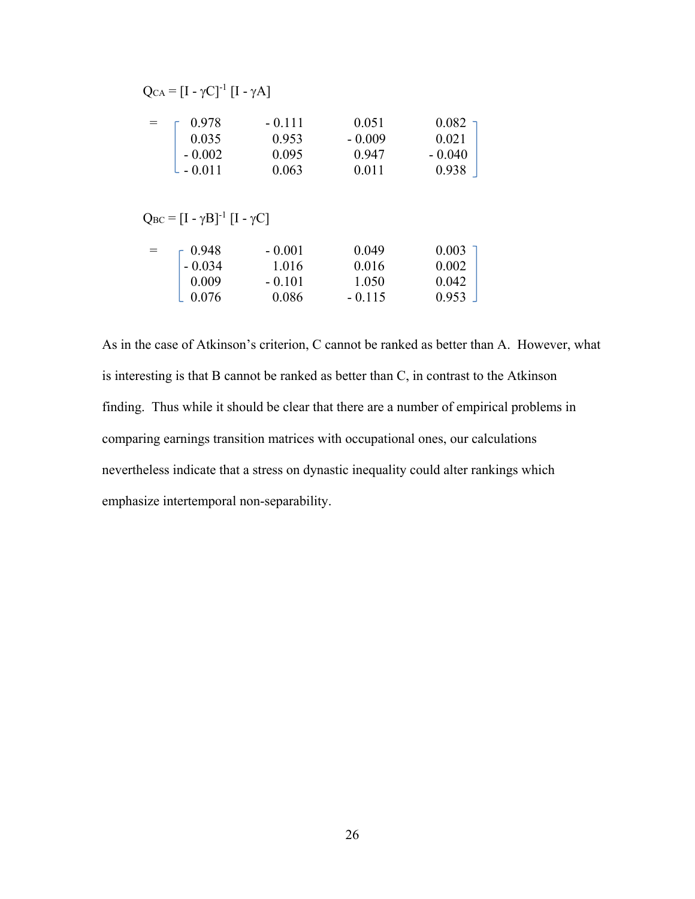| $Q_{CA} = [I - \gamma C]^{-1} [I - \gamma A]$ |          |          |           |
|-----------------------------------------------|----------|----------|-----------|
| 0.978                                         | $-0.111$ | 0.051    | $0.082 -$ |
| 0.035                                         | 0.953    | $-0.009$ | 0.021     |
| $-0.002$                                      | 0.095    | 0.947    | $-0.040$  |
| $L - 0.011$                                   | 0.063    | 0.011    | 0.938     |

 $Q_{BC} = [I - \gamma B]^{-1} [I - \gamma C]$ 

| $=$               | $\sqrt{0.948}$ | $-0.001$ | 0.049    | 0.003 |
|-------------------|----------------|----------|----------|-------|
| $-0.034$<br>0.009 |                | 1.016    | 0.016    | 0.002 |
|                   | $-0.101$       | 1.050    | 0.042    |       |
|                   | $-0.076$       | 0.086    | $-0.115$ | 0.953 |

As in the case of Atkinson's criterion, C cannot be ranked as better than A. However, what is interesting is that B cannot be ranked as better than C, in contrast to the Atkinson finding. Thus while it should be clear that there are a number of empirical problems in comparing earnings transition matrices with occupational ones, our calculations nevertheless indicate that a stress on dynastic inequality could alter rankings which emphasize intertemporal non-separability.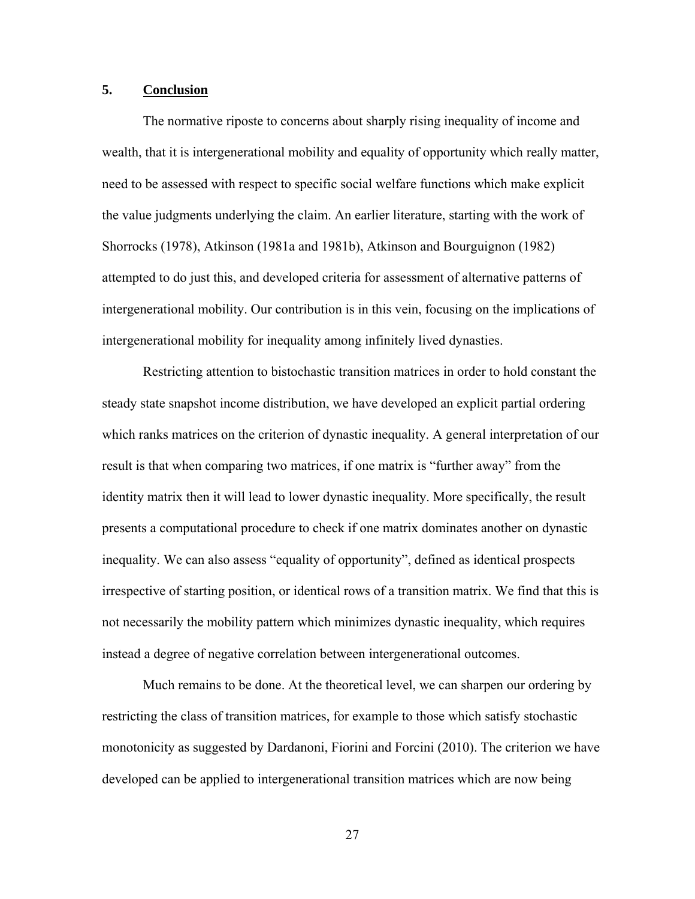#### **5. Conclusion**

 The normative riposte to concerns about sharply rising inequality of income and wealth, that it is intergenerational mobility and equality of opportunity which really matter, need to be assessed with respect to specific social welfare functions which make explicit the value judgments underlying the claim. An earlier literature, starting with the work of Shorrocks (1978), Atkinson (1981a and 1981b), Atkinson and Bourguignon (1982) attempted to do just this, and developed criteria for assessment of alternative patterns of intergenerational mobility. Our contribution is in this vein, focusing on the implications of intergenerational mobility for inequality among infinitely lived dynasties.

 Restricting attention to bistochastic transition matrices in order to hold constant the steady state snapshot income distribution, we have developed an explicit partial ordering which ranks matrices on the criterion of dynastic inequality. A general interpretation of our result is that when comparing two matrices, if one matrix is "further away" from the identity matrix then it will lead to lower dynastic inequality. More specifically, the result presents a computational procedure to check if one matrix dominates another on dynastic inequality. We can also assess "equality of opportunity", defined as identical prospects irrespective of starting position, or identical rows of a transition matrix. We find that this is not necessarily the mobility pattern which minimizes dynastic inequality, which requires instead a degree of negative correlation between intergenerational outcomes.

 Much remains to be done. At the theoretical level, we can sharpen our ordering by restricting the class of transition matrices, for example to those which satisfy stochastic monotonicity as suggested by Dardanoni, Fiorini and Forcini (2010). The criterion we have developed can be applied to intergenerational transition matrices which are now being

27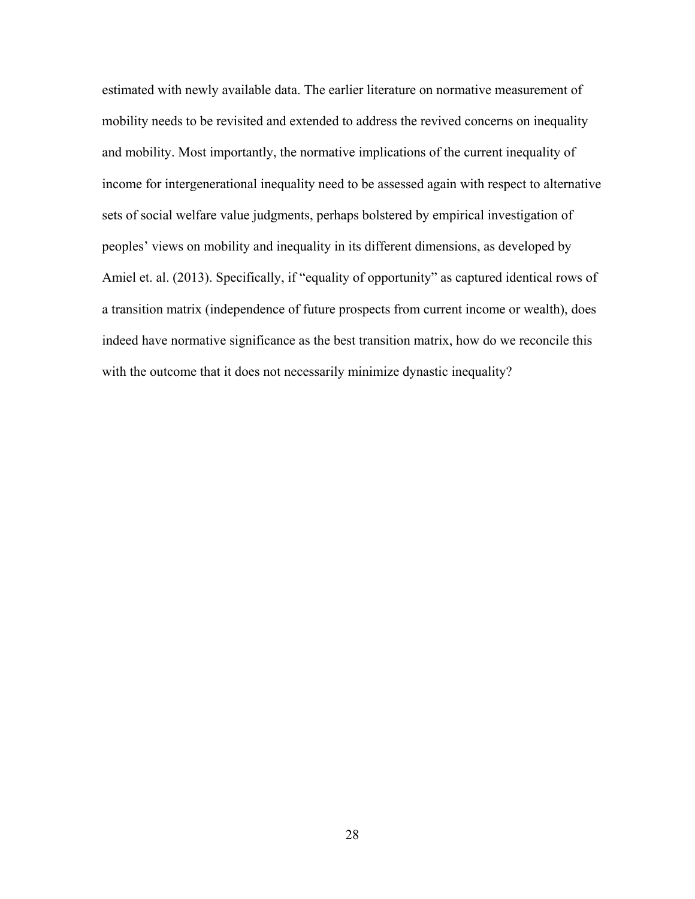estimated with newly available data. The earlier literature on normative measurement of mobility needs to be revisited and extended to address the revived concerns on inequality and mobility. Most importantly, the normative implications of the current inequality of income for intergenerational inequality need to be assessed again with respect to alternative sets of social welfare value judgments, perhaps bolstered by empirical investigation of peoples' views on mobility and inequality in its different dimensions, as developed by Amiel et. al. (2013). Specifically, if "equality of opportunity" as captured identical rows of a transition matrix (independence of future prospects from current income or wealth), does indeed have normative significance as the best transition matrix, how do we reconcile this with the outcome that it does not necessarily minimize dynastic inequality?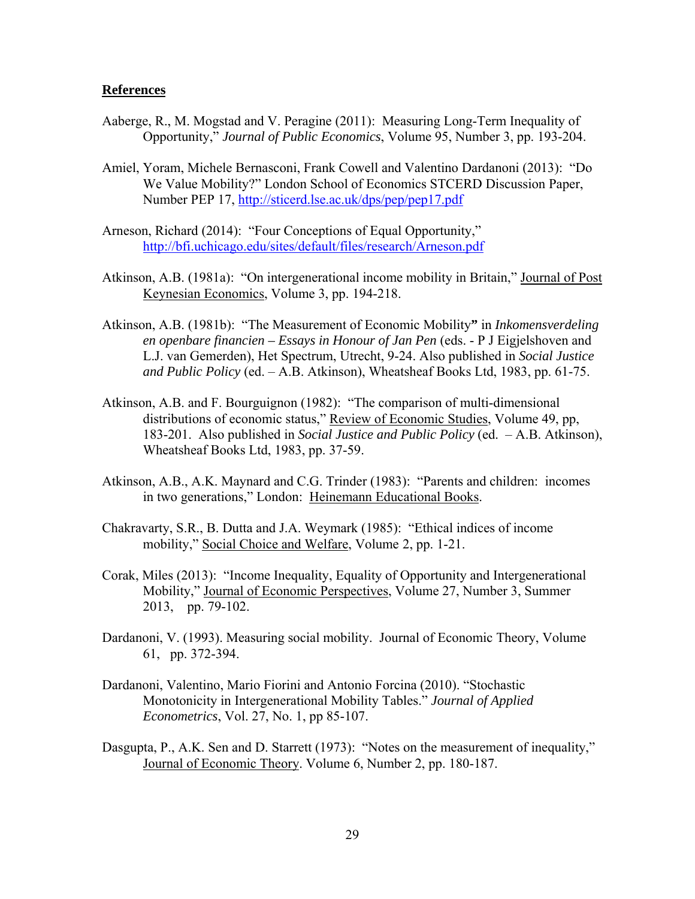#### **References**

- Aaberge, R., M. Mogstad and V. Peragine (2011): Measuring Long-Term Inequality of Opportunity," *Journal of Public Economics*, Volume 95, Number 3, pp. 193-204.
- Amiel, Yoram, Michele Bernasconi, Frank Cowell and Valentino Dardanoni (2013): "Do We Value Mobility?" London School of Economics STCERD Discussion Paper, Number PEP 17, http://sticerd.lse.ac.uk/dps/pep/pep17.pdf
- Arneson, Richard (2014): "Four Conceptions of Equal Opportunity," http://bfi.uchicago.edu/sites/default/files/research/Arneson.pdf
- Atkinson, A.B. (1981a): "On intergenerational income mobility in Britain," Journal of Post Keynesian Economics, Volume 3, pp. 194-218.
- Atkinson, A.B. (1981b): "The Measurement of Economic Mobility**"** in *Inkomensverdeling en openbare financien – Essays in Honour of Jan Pen* (eds. - P J Eigjelshoven and L.J. van Gemerden), Het Spectrum, Utrecht, 9-24. Also published in *Social Justice and Public Policy* (ed. – A.B. Atkinson), Wheatsheaf Books Ltd, 1983, pp. 61-75.
- Atkinson, A.B. and F. Bourguignon (1982): "The comparison of multi-dimensional distributions of economic status," Review of Economic Studies, Volume 49, pp, 183-201. Also published in *Social Justice and Public Policy* (ed. – A.B. Atkinson), Wheatsheaf Books Ltd, 1983, pp. 37-59.
- Atkinson, A.B., A.K. Maynard and C.G. Trinder (1983): "Parents and children: incomes in two generations," London: Heinemann Educational Books.
- Chakravarty, S.R., B. Dutta and J.A. Weymark (1985): "Ethical indices of income mobility," Social Choice and Welfare, Volume 2, pp. 1-21.
- Corak, Miles (2013): "Income Inequality, Equality of Opportunity and Intergenerational Mobility," Journal of Economic Perspectives, Volume 27, Number 3, Summer 2013, pp. 79-102.
- Dardanoni, V. (1993). Measuring social mobility. Journal of Economic Theory, Volume 61, pp. 372-394.
- Dardanoni, Valentino, Mario Fiorini and Antonio Forcina (2010). "Stochastic Monotonicity in Intergenerational Mobility Tables." *Journal of Applied Econometrics*, Vol. 27, No. 1, pp 85-107.
- Dasgupta, P., A.K. Sen and D. Starrett (1973): "Notes on the measurement of inequality," Journal of Economic Theory. Volume 6, Number 2, pp. 180-187.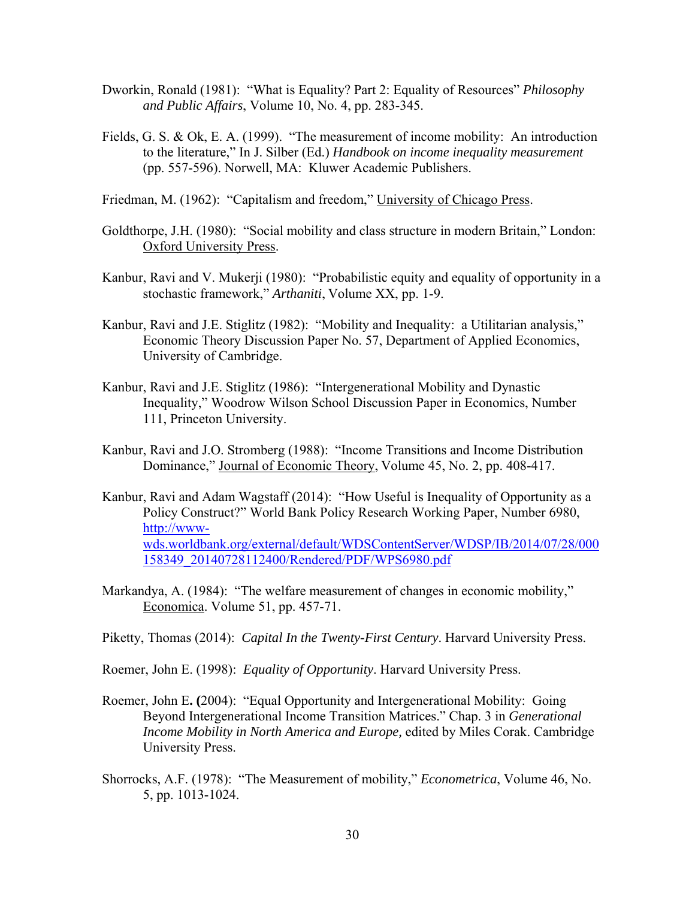- Dworkin, Ronald (1981): "What is Equality? Part 2: Equality of Resources" *Philosophy and Public Affairs*, Volume 10, No. 4, pp. 283-345.
- Fields, G. S. & Ok, E. A. (1999). "The measurement of income mobility: An introduction to the literature," In J. Silber (Ed.) *Handbook on income inequality measurement*  (pp. 557-596). Norwell, MA: Kluwer Academic Publishers.
- Friedman, M. (1962): "Capitalism and freedom," University of Chicago Press.
- Goldthorpe, J.H. (1980): "Social mobility and class structure in modern Britain," London: Oxford University Press.
- Kanbur, Ravi and V. Mukerji (1980): "Probabilistic equity and equality of opportunity in a stochastic framework," *Arthaniti*, Volume XX, pp. 1-9.
- Kanbur, Ravi and J.E. Stiglitz (1982): "Mobility and Inequality: a Utilitarian analysis," Economic Theory Discussion Paper No. 57, Department of Applied Economics, University of Cambridge.
- Kanbur, Ravi and J.E. Stiglitz (1986): "Intergenerational Mobility and Dynastic Inequality," Woodrow Wilson School Discussion Paper in Economics, Number 111, Princeton University.
- Kanbur, Ravi and J.O. Stromberg (1988): "Income Transitions and Income Distribution Dominance," Journal of Economic Theory, Volume 45, No. 2, pp. 408-417.
- Kanbur, Ravi and Adam Wagstaff (2014): "How Useful is Inequality of Opportunity as a Policy Construct?" World Bank Policy Research Working Paper, Number 6980, http://wwwwds.worldbank.org/external/default/WDSContentServer/WDSP/IB/2014/07/28/000 158349\_20140728112400/Rendered/PDF/WPS6980.pdf
- Markandya, A. (1984): "The welfare measurement of changes in economic mobility," Economica. Volume 51, pp. 457-71.
- Piketty, Thomas (2014): *Capital In the Twenty-First Century*. Harvard University Press.
- Roemer, John E. (1998): *Equality of Opportunity*. Harvard University Press.
- Roemer, John E**. (**2004): "Equal Opportunity and Intergenerational Mobility: Going Beyond Intergenerational Income Transition Matrices." Chap. 3 in *Generational Income Mobility in North America and Europe,* edited by Miles Corak. Cambridge University Press.
- Shorrocks, A.F. (1978): "The Measurement of mobility," *Econometrica*, Volume 46, No. 5, pp. 1013-1024.